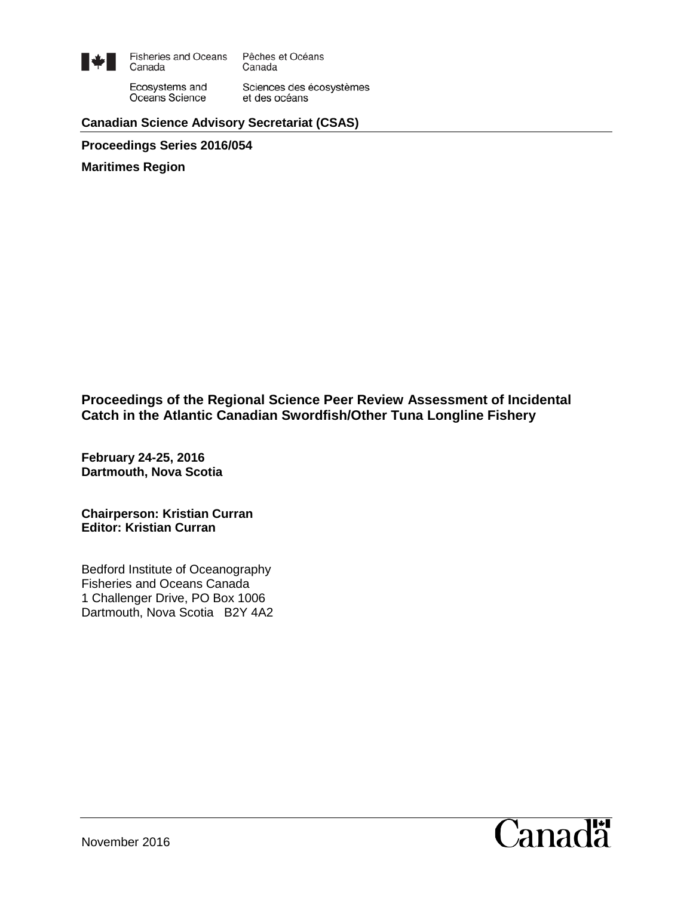

**Fisheries and Oceans** Pêches et Océans Canada Canada

Ecosystems and Oceans Science

Sciences des écosystèmes et des océans

### **Canadian Science Advisory Secretariat (CSAS)**

**Proceedings Series 2016/054**

**Maritimes Region**

**Proceedings of the Regional Science Peer Review Assessment of Incidental Catch in the Atlantic Canadian Swordfish/Other Tuna Longline Fishery**

**February 24-25, 2016 Dartmouth, Nova Scotia**

**Chairperson: Kristian Curran Editor: Kristian Curran**

Bedford Institute of Oceanography Fisheries and Oceans Canada 1 Challenger Drive, PO Box 1006 Dartmouth, Nova Scotia B2Y 4A2

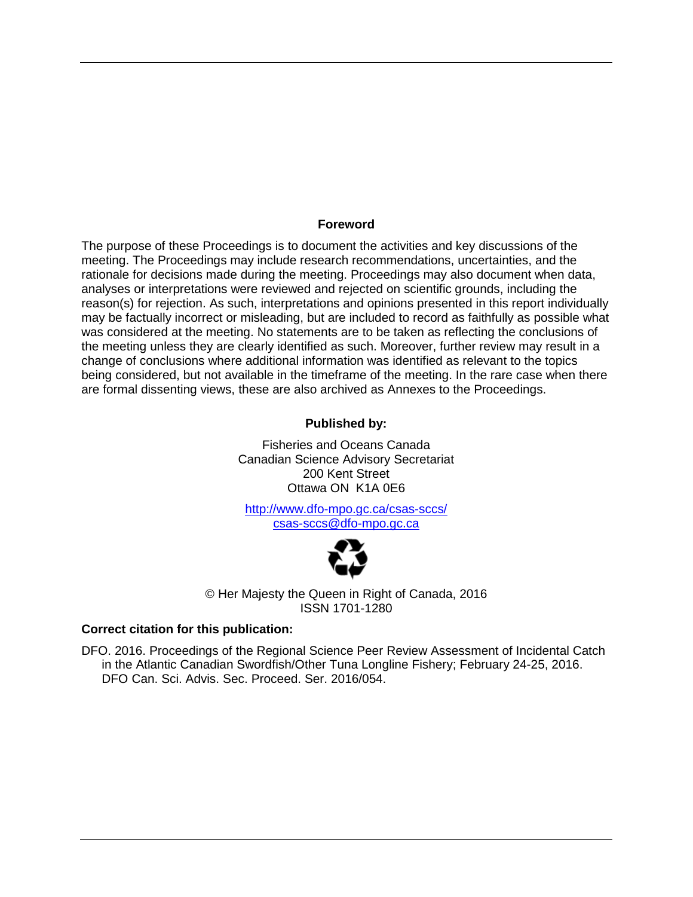#### **Foreword**

The purpose of these Proceedings is to document the activities and key discussions of the meeting. The Proceedings may include research recommendations, uncertainties, and the rationale for decisions made during the meeting. Proceedings may also document when data, analyses or interpretations were reviewed and rejected on scientific grounds, including the reason(s) for rejection. As such, interpretations and opinions presented in this report individually may be factually incorrect or misleading, but are included to record as faithfully as possible what was considered at the meeting. No statements are to be taken as reflecting the conclusions of the meeting unless they are clearly identified as such. Moreover, further review may result in a change of conclusions where additional information was identified as relevant to the topics being considered, but not available in the timeframe of the meeting. In the rare case when there are formal dissenting views, these are also archived as Annexes to the Proceedings.

#### **Published by:**

Fisheries and Oceans Canada Canadian Science Advisory Secretariat 200 Kent Street Ottawa ON K1A 0E6

<http://www.dfo-mpo.gc.ca/csas-sccs/> [csas-sccs@dfo-mpo.gc.ca](mailto:csas-sccs@dfo-mpo.gc.ca)



© Her Majesty the Queen in Right of Canada, 2016 ISSN 1701-1280

#### **Correct citation for this publication:**

DFO. 2016. Proceedings of the Regional Science Peer Review Assessment of Incidental Catch in the Atlantic Canadian Swordfish/Other Tuna Longline Fishery; February 24-25, 2016. DFO Can. Sci. Advis. Sec. Proceed. Ser. 2016/054.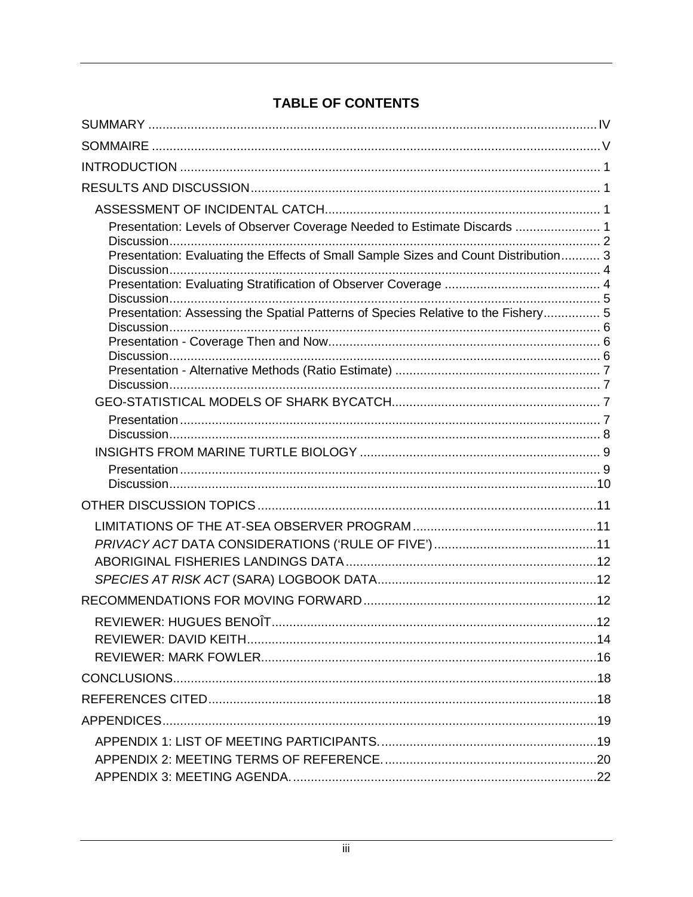# **TABLE OF CONTENTS**

| Presentation: Levels of Observer Coverage Needed to Estimate Discards  1            |     |
|-------------------------------------------------------------------------------------|-----|
| Presentation: Evaluating the Effects of Small Sample Sizes and Count Distribution 3 |     |
|                                                                                     |     |
| Presentation: Assessing the Spatial Patterns of Species Relative to the Fishery 5   |     |
|                                                                                     |     |
|                                                                                     |     |
|                                                                                     |     |
|                                                                                     |     |
|                                                                                     |     |
|                                                                                     |     |
|                                                                                     |     |
|                                                                                     |     |
|                                                                                     |     |
|                                                                                     |     |
|                                                                                     |     |
|                                                                                     |     |
|                                                                                     |     |
|                                                                                     |     |
| REVIEWER: HUGUES BENOÎT.                                                            | .12 |
|                                                                                     |     |
|                                                                                     |     |
|                                                                                     |     |
|                                                                                     |     |
|                                                                                     |     |
|                                                                                     |     |
|                                                                                     |     |
|                                                                                     |     |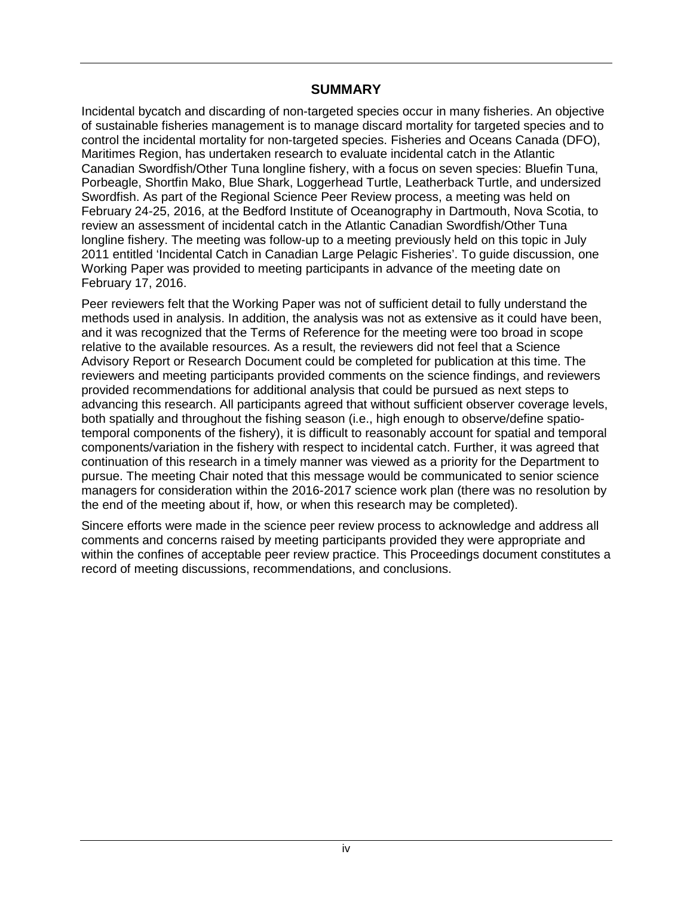### **SUMMARY**

<span id="page-3-0"></span>Incidental bycatch and discarding of non-targeted species occur in many fisheries. An objective of sustainable fisheries management is to manage discard mortality for targeted species and to control the incidental mortality for non-targeted species. Fisheries and Oceans Canada (DFO), Maritimes Region, has undertaken research to evaluate incidental catch in the Atlantic Canadian Swordfish/Other Tuna longline fishery, with a focus on seven species: Bluefin Tuna, Porbeagle, Shortfin Mako, Blue Shark, Loggerhead Turtle, Leatherback Turtle, and undersized Swordfish. As part of the Regional Science Peer Review process, a meeting was held on February 24-25, 2016, at the Bedford Institute of Oceanography in Dartmouth, Nova Scotia, to review an assessment of incidental catch in the Atlantic Canadian Swordfish/Other Tuna longline fishery. The meeting was follow-up to a meeting previously held on this topic in July 2011 entitled 'Incidental Catch in Canadian Large Pelagic Fisheries'. To guide discussion, one Working Paper was provided to meeting participants in advance of the meeting date on February 17, 2016.

Peer reviewers felt that the Working Paper was not of sufficient detail to fully understand the methods used in analysis. In addition, the analysis was not as extensive as it could have been, and it was recognized that the Terms of Reference for the meeting were too broad in scope relative to the available resources. As a result, the reviewers did not feel that a Science Advisory Report or Research Document could be completed for publication at this time. The reviewers and meeting participants provided comments on the science findings, and reviewers provided recommendations for additional analysis that could be pursued as next steps to advancing this research. All participants agreed that without sufficient observer coverage levels, both spatially and throughout the fishing season (i.e., high enough to observe/define spatiotemporal components of the fishery), it is difficult to reasonably account for spatial and temporal components/variation in the fishery with respect to incidental catch. Further, it was agreed that continuation of this research in a timely manner was viewed as a priority for the Department to pursue. The meeting Chair noted that this message would be communicated to senior science managers for consideration within the 2016-2017 science work plan (there was no resolution by the end of the meeting about if, how, or when this research may be completed).

Sincere efforts were made in the science peer review process to acknowledge and address all comments and concerns raised by meeting participants provided they were appropriate and within the confines of acceptable peer review practice. This Proceedings document constitutes a record of meeting discussions, recommendations, and conclusions.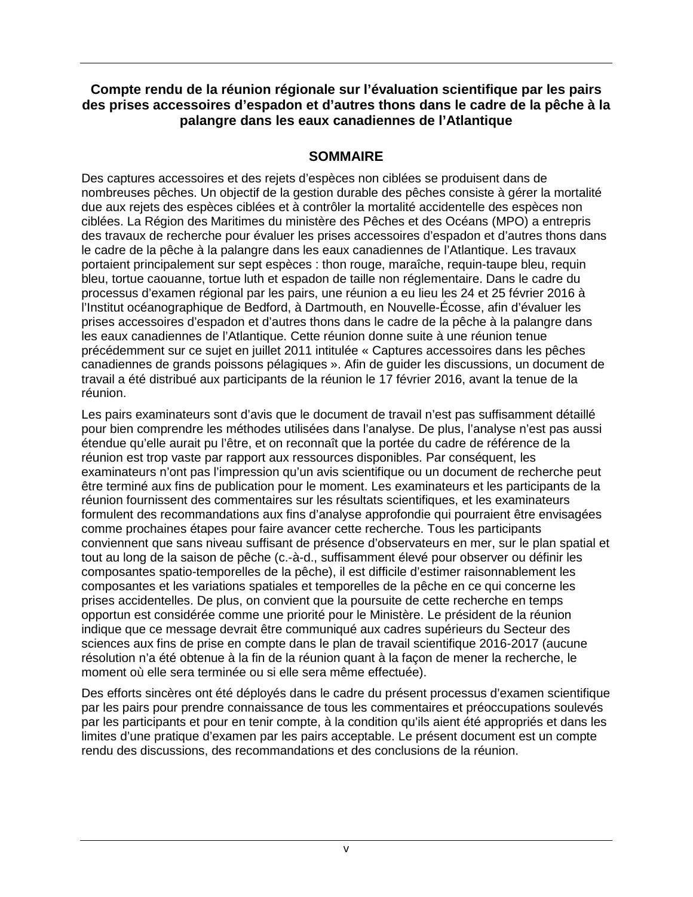## **Compte rendu de la réunion régionale sur l'évaluation scientifique par les pairs des prises accessoires d'espadon et d'autres thons dans le cadre de la pêche à la palangre dans les eaux canadiennes de l'Atlantique**

## **SOMMAIRE**

<span id="page-4-0"></span>Des captures accessoires et des rejets d'espèces non ciblées se produisent dans de nombreuses pêches. Un objectif de la gestion durable des pêches consiste à gérer la mortalité due aux rejets des espèces ciblées et à contrôler la mortalité accidentelle des espèces non ciblées. La Région des Maritimes du ministère des Pêches et des Océans (MPO) a entrepris des travaux de recherche pour évaluer les prises accessoires d'espadon et d'autres thons dans le cadre de la pêche à la palangre dans les eaux canadiennes de l'Atlantique. Les travaux portaient principalement sur sept espèces : thon rouge, maraîche, requin-taupe bleu, requin bleu, tortue caouanne, tortue luth et espadon de taille non réglementaire. Dans le cadre du processus d'examen régional par les pairs, une réunion a eu lieu les 24 et 25 février 2016 à l'Institut océanographique de Bedford, à Dartmouth, en Nouvelle-Écosse, afin d'évaluer les prises accessoires d'espadon et d'autres thons dans le cadre de la pêche à la palangre dans les eaux canadiennes de l'Atlantique. Cette réunion donne suite à une réunion tenue précédemment sur ce sujet en juillet 2011 intitulée « Captures accessoires dans les pêches canadiennes de grands poissons pélagiques ». Afin de guider les discussions, un document de travail a été distribué aux participants de la réunion le 17 février 2016, avant la tenue de la réunion.

Les pairs examinateurs sont d'avis que le document de travail n'est pas suffisamment détaillé pour bien comprendre les méthodes utilisées dans l'analyse. De plus, l'analyse n'est pas aussi étendue qu'elle aurait pu l'être, et on reconnaît que la portée du cadre de référence de la réunion est trop vaste par rapport aux ressources disponibles. Par conséquent, les examinateurs n'ont pas l'impression qu'un avis scientifique ou un document de recherche peut être terminé aux fins de publication pour le moment. Les examinateurs et les participants de la réunion fournissent des commentaires sur les résultats scientifiques, et les examinateurs formulent des recommandations aux fins d'analyse approfondie qui pourraient être envisagées comme prochaines étapes pour faire avancer cette recherche. Tous les participants conviennent que sans niveau suffisant de présence d'observateurs en mer, sur le plan spatial et tout au long de la saison de pêche (c.-à-d., suffisamment élevé pour observer ou définir les composantes spatio-temporelles de la pêche), il est difficile d'estimer raisonnablement les composantes et les variations spatiales et temporelles de la pêche en ce qui concerne les prises accidentelles. De plus, on convient que la poursuite de cette recherche en temps opportun est considérée comme une priorité pour le Ministère. Le président de la réunion indique que ce message devrait être communiqué aux cadres supérieurs du Secteur des sciences aux fins de prise en compte dans le plan de travail scientifique 2016-2017 (aucune résolution n'a été obtenue à la fin de la réunion quant à la façon de mener la recherche, le moment où elle sera terminée ou si elle sera même effectuée).

Des efforts sincères ont été déployés dans le cadre du présent processus d'examen scientifique par les pairs pour prendre connaissance de tous les commentaires et préoccupations soulevés par les participants et pour en tenir compte, à la condition qu'ils aient été appropriés et dans les limites d'une pratique d'examen par les pairs acceptable. Le présent document est un compte rendu des discussions, des recommandations et des conclusions de la réunion.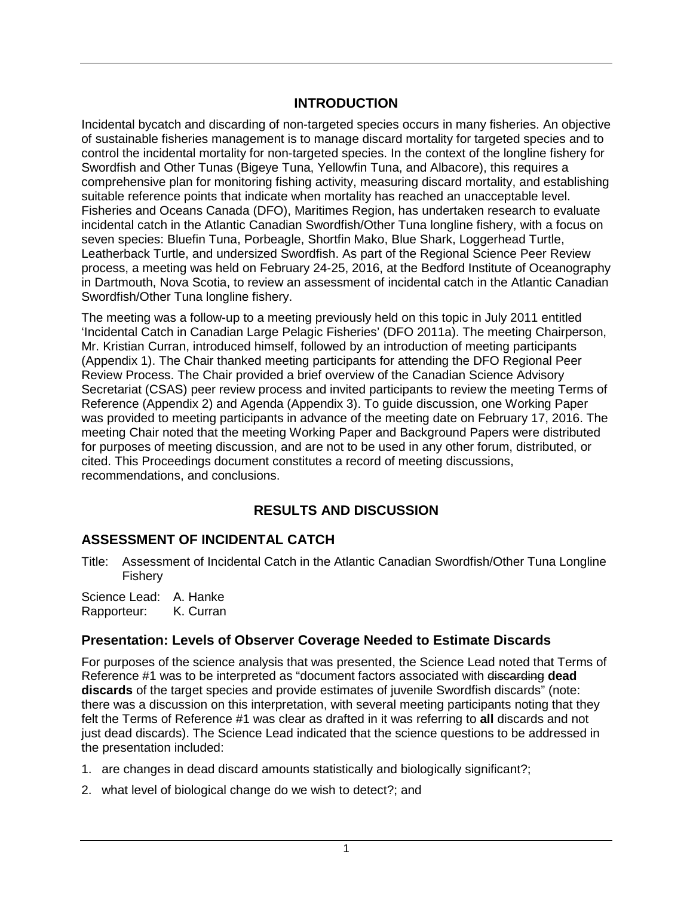## **INTRODUCTION**

<span id="page-5-0"></span>Incidental bycatch and discarding of non-targeted species occurs in many fisheries. An objective of sustainable fisheries management is to manage discard mortality for targeted species and to control the incidental mortality for non-targeted species. In the context of the longline fishery for Swordfish and Other Tunas (Bigeye Tuna, Yellowfin Tuna, and Albacore), this requires a comprehensive plan for monitoring fishing activity, measuring discard mortality, and establishing suitable reference points that indicate when mortality has reached an unacceptable level. Fisheries and Oceans Canada (DFO), Maritimes Region, has undertaken research to evaluate incidental catch in the Atlantic Canadian Swordfish/Other Tuna longline fishery, with a focus on seven species: Bluefin Tuna, Porbeagle, Shortfin Mako, Blue Shark, Loggerhead Turtle, Leatherback Turtle, and undersized Swordfish. As part of the Regional Science Peer Review process, a meeting was held on February 24-25, 2016, at the Bedford Institute of Oceanography in Dartmouth, Nova Scotia, to review an assessment of incidental catch in the Atlantic Canadian Swordfish/Other Tuna longline fishery.

The meeting was a follow-up to a meeting previously held on this topic in July 2011 entitled 'Incidental Catch in Canadian Large Pelagic Fisheries' (DFO 2011a). The meeting Chairperson, Mr. Kristian Curran, introduced himself, followed by an introduction of meeting participants (Appendix 1). The Chair thanked meeting participants for attending the DFO Regional Peer Review Process. The Chair provided a brief overview of the Canadian Science Advisory Secretariat (CSAS) peer review process and invited participants to review the meeting Terms of Reference (Appendix 2) and Agenda (Appendix 3). To guide discussion, one Working Paper was provided to meeting participants in advance of the meeting date on February 17, 2016. The meeting Chair noted that the meeting Working Paper and Background Papers were distributed for purposes of meeting discussion, and are not to be used in any other forum, distributed, or cited. This Proceedings document constitutes a record of meeting discussions, recommendations, and conclusions.

# **RESULTS AND DISCUSSION**

# <span id="page-5-2"></span><span id="page-5-1"></span>**ASSESSMENT OF INCIDENTAL CATCH**

Title: Assessment of Incidental Catch in the Atlantic Canadian Swordfish/Other Tuna Longline Fishery

Science Lead: A. Hanke Rapporteur: K. Curran

## <span id="page-5-3"></span>**Presentation: Levels of Observer Coverage Needed to Estimate Discards**

For purposes of the science analysis that was presented, the Science Lead noted that Terms of Reference #1 was to be interpreted as "document factors associated with discarding **dead discards** of the target species and provide estimates of juvenile Swordfish discards" (note: there was a discussion on this interpretation, with several meeting participants noting that they felt the Terms of Reference #1 was clear as drafted in it was referring to **all** discards and not just dead discards). The Science Lead indicated that the science questions to be addressed in the presentation included:

- 1. are changes in dead discard amounts statistically and biologically significant?;
- 2. what level of biological change do we wish to detect?; and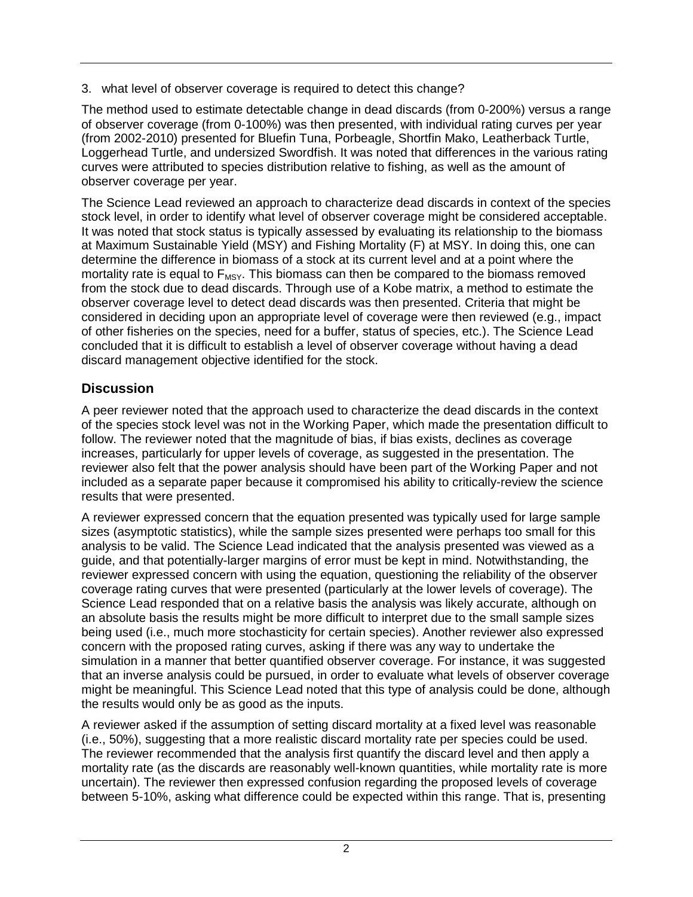3. what level of observer coverage is required to detect this change?

The method used to estimate detectable change in dead discards (from 0-200%) versus a range of observer coverage (from 0-100%) was then presented, with individual rating curves per year (from 2002-2010) presented for Bluefin Tuna, Porbeagle, Shortfin Mako, Leatherback Turtle, Loggerhead Turtle, and undersized Swordfish. It was noted that differences in the various rating curves were attributed to species distribution relative to fishing, as well as the amount of observer coverage per year.

The Science Lead reviewed an approach to characterize dead discards in context of the species stock level, in order to identify what level of observer coverage might be considered acceptable. It was noted that stock status is typically assessed by evaluating its relationship to the biomass at Maximum Sustainable Yield (MSY) and Fishing Mortality (F) at MSY. In doing this, one can determine the difference in biomass of a stock at its current level and at a point where the mortality rate is equal to  $F_{MSY}$ . This biomass can then be compared to the biomass removed from the stock due to dead discards. Through use of a Kobe matrix, a method to estimate the observer coverage level to detect dead discards was then presented. Criteria that might be considered in deciding upon an appropriate level of coverage were then reviewed (e.g., impact of other fisheries on the species, need for a buffer, status of species, etc.). The Science Lead concluded that it is difficult to establish a level of observer coverage without having a dead discard management objective identified for the stock.

## <span id="page-6-0"></span>**Discussion**

A peer reviewer noted that the approach used to characterize the dead discards in the context of the species stock level was not in the Working Paper, which made the presentation difficult to follow. The reviewer noted that the magnitude of bias, if bias exists, declines as coverage increases, particularly for upper levels of coverage, as suggested in the presentation. The reviewer also felt that the power analysis should have been part of the Working Paper and not included as a separate paper because it compromised his ability to critically-review the science results that were presented.

A reviewer expressed concern that the equation presented was typically used for large sample sizes (asymptotic statistics), while the sample sizes presented were perhaps too small for this analysis to be valid. The Science Lead indicated that the analysis presented was viewed as a guide, and that potentially-larger margins of error must be kept in mind. Notwithstanding, the reviewer expressed concern with using the equation, questioning the reliability of the observer coverage rating curves that were presented (particularly at the lower levels of coverage). The Science Lead responded that on a relative basis the analysis was likely accurate, although on an absolute basis the results might be more difficult to interpret due to the small sample sizes being used (i.e., much more stochasticity for certain species). Another reviewer also expressed concern with the proposed rating curves, asking if there was any way to undertake the simulation in a manner that better quantified observer coverage. For instance, it was suggested that an inverse analysis could be pursued, in order to evaluate what levels of observer coverage might be meaningful. This Science Lead noted that this type of analysis could be done, although the results would only be as good as the inputs.

A reviewer asked if the assumption of setting discard mortality at a fixed level was reasonable (i.e., 50%), suggesting that a more realistic discard mortality rate per species could be used. The reviewer recommended that the analysis first quantify the discard level and then apply a mortality rate (as the discards are reasonably well-known quantities, while mortality rate is more uncertain). The reviewer then expressed confusion regarding the proposed levels of coverage between 5-10%, asking what difference could be expected within this range. That is, presenting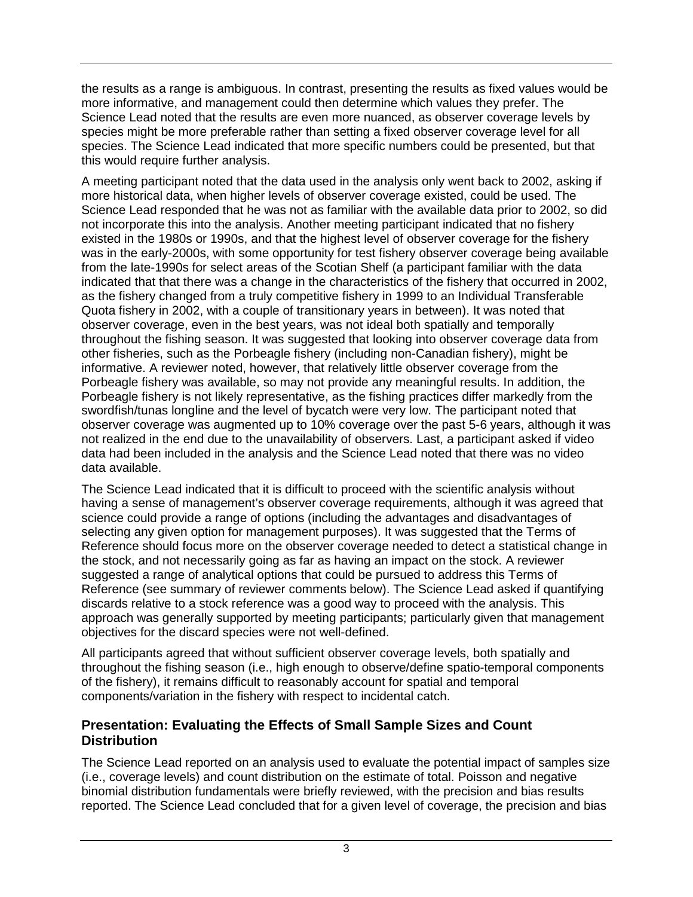the results as a range is ambiguous. In contrast, presenting the results as fixed values would be more informative, and management could then determine which values they prefer. The Science Lead noted that the results are even more nuanced, as observer coverage levels by species might be more preferable rather than setting a fixed observer coverage level for all species. The Science Lead indicated that more specific numbers could be presented, but that this would require further analysis.

A meeting participant noted that the data used in the analysis only went back to 2002, asking if more historical data, when higher levels of observer coverage existed, could be used. The Science Lead responded that he was not as familiar with the available data prior to 2002, so did not incorporate this into the analysis. Another meeting participant indicated that no fishery existed in the 1980s or 1990s, and that the highest level of observer coverage for the fishery was in the early-2000s, with some opportunity for test fishery observer coverage being available from the late-1990s for select areas of the Scotian Shelf (a participant familiar with the data indicated that that there was a change in the characteristics of the fishery that occurred in 2002, as the fishery changed from a truly competitive fishery in 1999 to an Individual Transferable Quota fishery in 2002, with a couple of transitionary years in between). It was noted that observer coverage, even in the best years, was not ideal both spatially and temporally throughout the fishing season. It was suggested that looking into observer coverage data from other fisheries, such as the Porbeagle fishery (including non-Canadian fishery), might be informative. A reviewer noted, however, that relatively little observer coverage from the Porbeagle fishery was available, so may not provide any meaningful results. In addition, the Porbeagle fishery is not likely representative, as the fishing practices differ markedly from the swordfish/tunas longline and the level of bycatch were very low. The participant noted that observer coverage was augmented up to 10% coverage over the past 5-6 years, although it was not realized in the end due to the unavailability of observers. Last, a participant asked if video data had been included in the analysis and the Science Lead noted that there was no video data available.

The Science Lead indicated that it is difficult to proceed with the scientific analysis without having a sense of management's observer coverage requirements, although it was agreed that science could provide a range of options (including the advantages and disadvantages of selecting any given option for management purposes). It was suggested that the Terms of Reference should focus more on the observer coverage needed to detect a statistical change in the stock, and not necessarily going as far as having an impact on the stock. A reviewer suggested a range of analytical options that could be pursued to address this Terms of Reference (see summary of reviewer comments below). The Science Lead asked if quantifying discards relative to a stock reference was a good way to proceed with the analysis. This approach was generally supported by meeting participants; particularly given that management objectives for the discard species were not well-defined.

All participants agreed that without sufficient observer coverage levels, both spatially and throughout the fishing season (i.e., high enough to observe/define spatio-temporal components of the fishery), it remains difficult to reasonably account for spatial and temporal components/variation in the fishery with respect to incidental catch.

## <span id="page-7-0"></span>**Presentation: Evaluating the Effects of Small Sample Sizes and Count Distribution**

The Science Lead reported on an analysis used to evaluate the potential impact of samples size (i.e., coverage levels) and count distribution on the estimate of total. Poisson and negative binomial distribution fundamentals were briefly reviewed, with the precision and bias results reported. The Science Lead concluded that for a given level of coverage, the precision and bias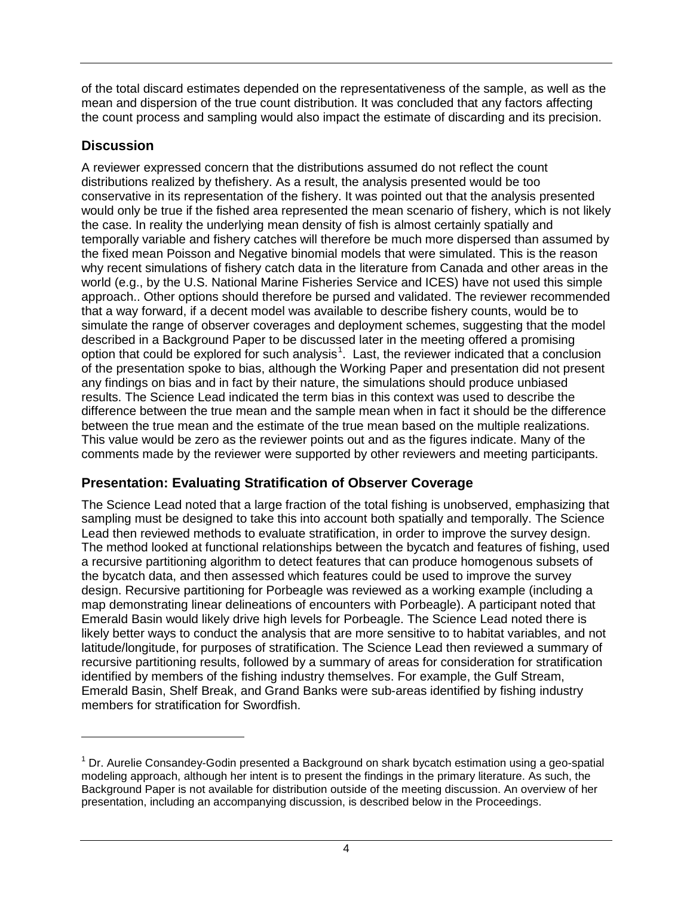of the total discard estimates depended on the representativeness of the sample, as well as the mean and dispersion of the true count distribution. It was concluded that any factors affecting the count process and sampling would also impact the estimate of discarding and its precision.

## <span id="page-8-0"></span>**Discussion**

 $\overline{a}$ 

A reviewer expressed concern that the distributions assumed do not reflect the count distributions realized by thefishery. As a result, the analysis presented would be too conservative in its representation of the fishery. It was pointed out that the analysis presented would only be true if the fished area represented the mean scenario of fishery, which is not likely the case. In reality the underlying mean density of fish is almost certainly spatially and temporally variable and fishery catches will therefore be much more dispersed than assumed by the fixed mean Poisson and Negative binomial models that were simulated. This is the reason why recent simulations of fishery catch data in the literature from Canada and other areas in the world (e.g., by the U.S. National Marine Fisheries Service and ICES) have not used this simple approach.. Other options should therefore be pursed and validated. The reviewer recommended that a way forward, if a decent model was available to describe fishery counts, would be to simulate the range of observer coverages and deployment schemes, suggesting that the model described in a Background Paper to be discussed later in the meeting offered a promising option that could be explored for such analysis<sup>[1](#page-8-2)</sup>. Last, the reviewer indicated that a conclusion of the presentation spoke to bias, although the Working Paper and presentation did not present any findings on bias and in fact by their nature, the simulations should produce unbiased results. The Science Lead indicated the term bias in this context was used to describe the difference between the true mean and the sample mean when in fact it should be the difference between the true mean and the estimate of the true mean based on the multiple realizations. This value would be zero as the reviewer points out and as the figures indicate. Many of the comments made by the reviewer were supported by other reviewers and meeting participants.

# <span id="page-8-1"></span>**Presentation: Evaluating Stratification of Observer Coverage**

The Science Lead noted that a large fraction of the total fishing is unobserved, emphasizing that sampling must be designed to take this into account both spatially and temporally. The Science Lead then reviewed methods to evaluate stratification, in order to improve the survey design. The method looked at functional relationships between the bycatch and features of fishing, used a recursive partitioning algorithm to detect features that can produce homogenous subsets of the bycatch data, and then assessed which features could be used to improve the survey design. Recursive partitioning for Porbeagle was reviewed as a working example (including a map demonstrating linear delineations of encounters with Porbeagle). A participant noted that Emerald Basin would likely drive high levels for Porbeagle. The Science Lead noted there is likely better ways to conduct the analysis that are more sensitive to to habitat variables, and not latitude/longitude, for purposes of stratification. The Science Lead then reviewed a summary of recursive partitioning results, followed by a summary of areas for consideration for stratification identified by members of the fishing industry themselves. For example, the Gulf Stream, Emerald Basin, Shelf Break, and Grand Banks were sub-areas identified by fishing industry members for stratification for Swordfish.

<span id="page-8-2"></span> $1$  Dr. Aurelie Consandev-Godin presented a Background on shark bycatch estimation using a geo-spatial modeling approach, although her intent is to present the findings in the primary literature. As such, the Background Paper is not available for distribution outside of the meeting discussion. An overview of her presentation, including an accompanying discussion, is described below in the Proceedings.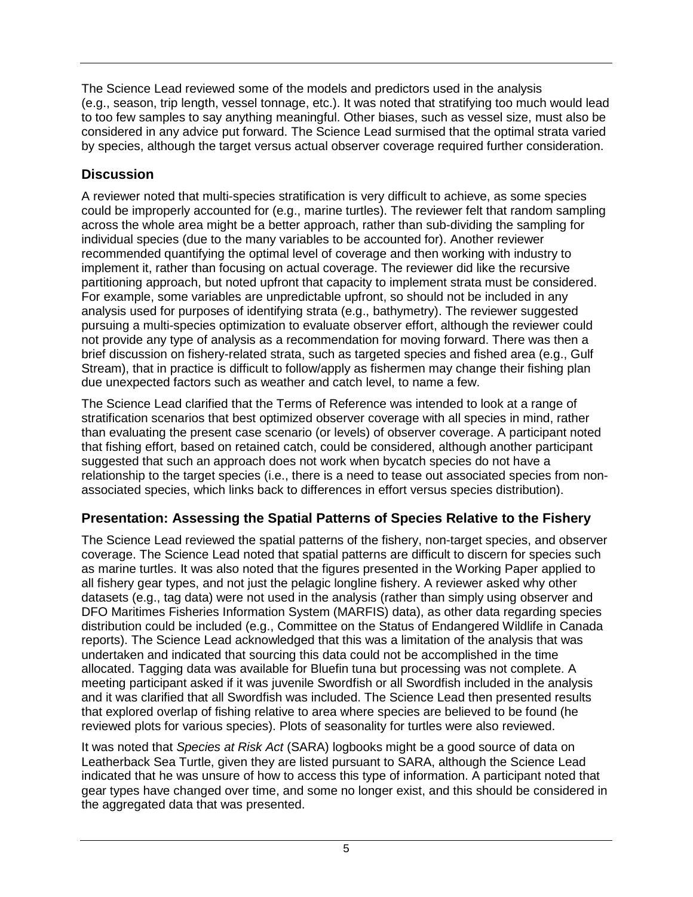The Science Lead reviewed some of the models and predictors used in the analysis (e.g., season, trip length, vessel tonnage, etc.). It was noted that stratifying too much would lead to too few samples to say anything meaningful. Other biases, such as vessel size, must also be considered in any advice put forward. The Science Lead surmised that the optimal strata varied by species, although the target versus actual observer coverage required further consideration.

# <span id="page-9-0"></span>**Discussion**

A reviewer noted that multi-species stratification is very difficult to achieve, as some species could be improperly accounted for (e.g., marine turtles). The reviewer felt that random sampling across the whole area might be a better approach, rather than sub-dividing the sampling for individual species (due to the many variables to be accounted for). Another reviewer recommended quantifying the optimal level of coverage and then working with industry to implement it, rather than focusing on actual coverage. The reviewer did like the recursive partitioning approach, but noted upfront that capacity to implement strata must be considered. For example, some variables are unpredictable upfront, so should not be included in any analysis used for purposes of identifying strata (e.g., bathymetry). The reviewer suggested pursuing a multi-species optimization to evaluate observer effort, although the reviewer could not provide any type of analysis as a recommendation for moving forward. There was then a brief discussion on fishery-related strata, such as targeted species and fished area (e.g., Gulf Stream), that in practice is difficult to follow/apply as fishermen may change their fishing plan due unexpected factors such as weather and catch level, to name a few.

The Science Lead clarified that the Terms of Reference was intended to look at a range of stratification scenarios that best optimized observer coverage with all species in mind, rather than evaluating the present case scenario (or levels) of observer coverage. A participant noted that fishing effort, based on retained catch, could be considered, although another participant suggested that such an approach does not work when bycatch species do not have a relationship to the target species (i.e., there is a need to tease out associated species from nonassociated species, which links back to differences in effort versus species distribution).

# <span id="page-9-1"></span>**Presentation: Assessing the Spatial Patterns of Species Relative to the Fishery**

The Science Lead reviewed the spatial patterns of the fishery, non-target species, and observer coverage. The Science Lead noted that spatial patterns are difficult to discern for species such as marine turtles. It was also noted that the figures presented in the Working Paper applied to all fishery gear types, and not just the pelagic longline fishery. A reviewer asked why other datasets (e.g., tag data) were not used in the analysis (rather than simply using observer and DFO Maritimes Fisheries Information System (MARFIS) data), as other data regarding species distribution could be included (e.g., Committee on the Status of Endangered Wildlife in Canada reports). The Science Lead acknowledged that this was a limitation of the analysis that was undertaken and indicated that sourcing this data could not be accomplished in the time allocated. Tagging data was available for Bluefin tuna but processing was not complete. A meeting participant asked if it was juvenile Swordfish or all Swordfish included in the analysis and it was clarified that all Swordfish was included. The Science Lead then presented results that explored overlap of fishing relative to area where species are believed to be found (he reviewed plots for various species). Plots of seasonality for turtles were also reviewed.

It was noted that *Species at Risk Act* (SARA) logbooks might be a good source of data on Leatherback Sea Turtle, given they are listed pursuant to SARA, although the Science Lead indicated that he was unsure of how to access this type of information. A participant noted that gear types have changed over time, and some no longer exist, and this should be considered in the aggregated data that was presented.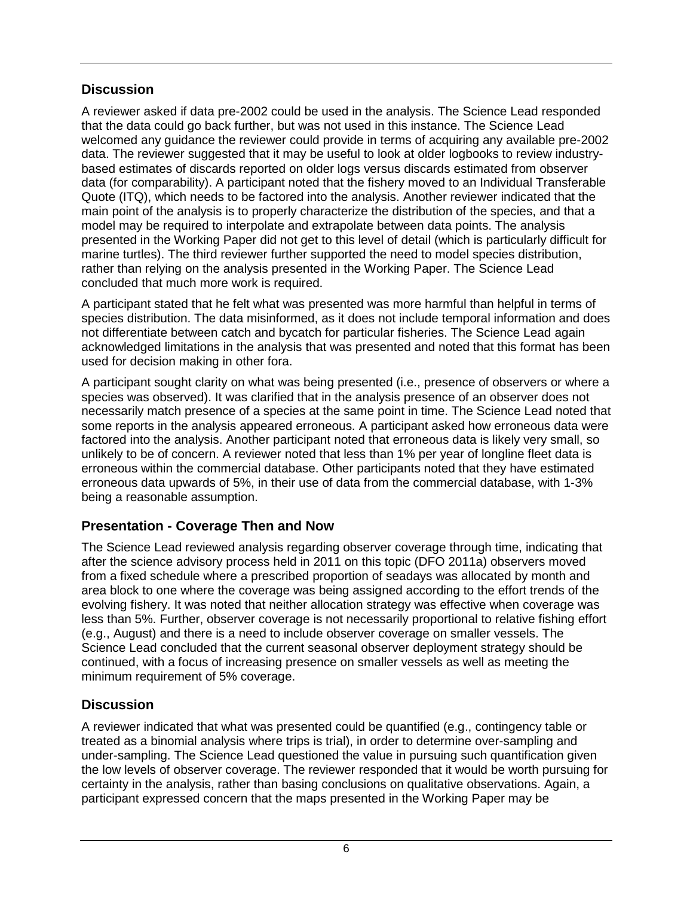## <span id="page-10-0"></span>**Discussion**

A reviewer asked if data pre-2002 could be used in the analysis. The Science Lead responded that the data could go back further, but was not used in this instance. The Science Lead welcomed any guidance the reviewer could provide in terms of acquiring any available pre-2002 data. The reviewer suggested that it may be useful to look at older logbooks to review industrybased estimates of discards reported on older logs versus discards estimated from observer data (for comparability). A participant noted that the fishery moved to an Individual Transferable Quote (ITQ), which needs to be factored into the analysis. Another reviewer indicated that the main point of the analysis is to properly characterize the distribution of the species, and that a model may be required to interpolate and extrapolate between data points. The analysis presented in the Working Paper did not get to this level of detail (which is particularly difficult for marine turtles). The third reviewer further supported the need to model species distribution, rather than relying on the analysis presented in the Working Paper. The Science Lead concluded that much more work is required.

A participant stated that he felt what was presented was more harmful than helpful in terms of species distribution. The data misinformed, as it does not include temporal information and does not differentiate between catch and bycatch for particular fisheries. The Science Lead again acknowledged limitations in the analysis that was presented and noted that this format has been used for decision making in other fora.

A participant sought clarity on what was being presented (i.e., presence of observers or where a species was observed). It was clarified that in the analysis presence of an observer does not necessarily match presence of a species at the same point in time. The Science Lead noted that some reports in the analysis appeared erroneous. A participant asked how erroneous data were factored into the analysis. Another participant noted that erroneous data is likely very small, so unlikely to be of concern. A reviewer noted that less than 1% per year of longline fleet data is erroneous within the commercial database. Other participants noted that they have estimated erroneous data upwards of 5%, in their use of data from the commercial database, with 1-3% being a reasonable assumption.

## <span id="page-10-1"></span>**Presentation - Coverage Then and Now**

The Science Lead reviewed analysis regarding observer coverage through time, indicating that after the science advisory process held in 2011 on this topic (DFO 2011a) observers moved from a fixed schedule where a prescribed proportion of seadays was allocated by month and area block to one where the coverage was being assigned according to the effort trends of the evolving fishery. It was noted that neither allocation strategy was effective when coverage was less than 5%. Further, observer coverage is not necessarily proportional to relative fishing effort (e.g., August) and there is a need to include observer coverage on smaller vessels. The Science Lead concluded that the current seasonal observer deployment strategy should be continued, with a focus of increasing presence on smaller vessels as well as meeting the minimum requirement of 5% coverage.

## <span id="page-10-2"></span>**Discussion**

A reviewer indicated that what was presented could be quantified (e.g., contingency table or treated as a binomial analysis where trips is trial), in order to determine over-sampling and under-sampling. The Science Lead questioned the value in pursuing such quantification given the low levels of observer coverage. The reviewer responded that it would be worth pursuing for certainty in the analysis, rather than basing conclusions on qualitative observations. Again, a participant expressed concern that the maps presented in the Working Paper may be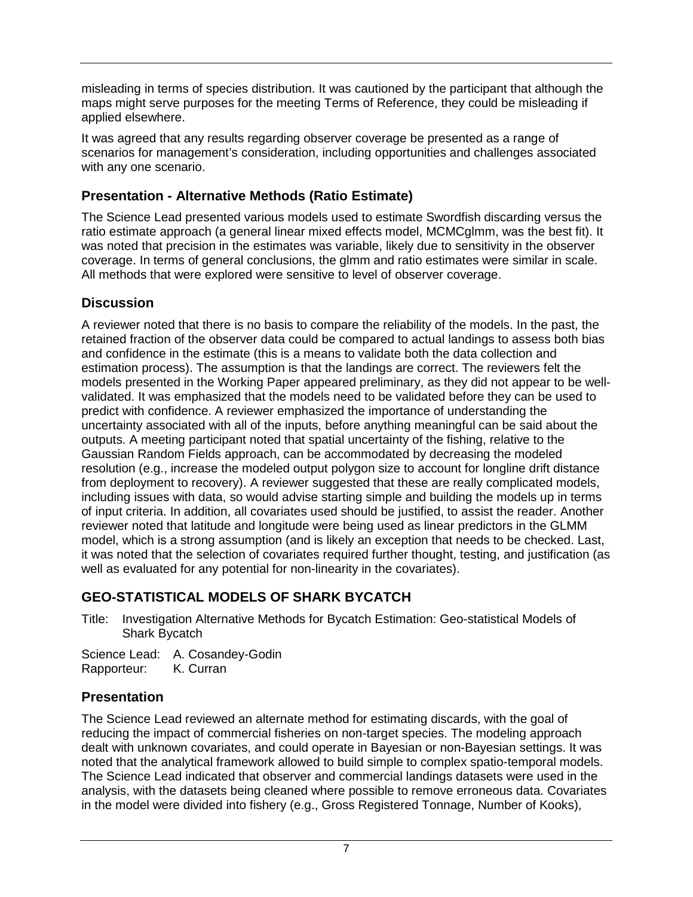misleading in terms of species distribution. It was cautioned by the participant that although the maps might serve purposes for the meeting Terms of Reference, they could be misleading if applied elsewhere.

It was agreed that any results regarding observer coverage be presented as a range of scenarios for management's consideration, including opportunities and challenges associated with any one scenario.

# <span id="page-11-0"></span>**Presentation - Alternative Methods (Ratio Estimate)**

The Science Lead presented various models used to estimate Swordfish discarding versus the ratio estimate approach (a general linear mixed effects model, MCMCglmm, was the best fit). It was noted that precision in the estimates was variable, likely due to sensitivity in the observer coverage. In terms of general conclusions, the glmm and ratio estimates were similar in scale. All methods that were explored were sensitive to level of observer coverage.

## <span id="page-11-1"></span>**Discussion**

A reviewer noted that there is no basis to compare the reliability of the models. In the past, the retained fraction of the observer data could be compared to actual landings to assess both bias and confidence in the estimate (this is a means to validate both the data collection and estimation process). The assumption is that the landings are correct. The reviewers felt the models presented in the Working Paper appeared preliminary, as they did not appear to be wellvalidated. It was emphasized that the models need to be validated before they can be used to predict with confidence. A reviewer emphasized the importance of understanding the uncertainty associated with all of the inputs, before anything meaningful can be said about the outputs. A meeting participant noted that spatial uncertainty of the fishing, relative to the Gaussian Random Fields approach, can be accommodated by decreasing the modeled resolution (e.g., increase the modeled output polygon size to account for longline drift distance from deployment to recovery). A reviewer suggested that these are really complicated models, including issues with data, so would advise starting simple and building the models up in terms of input criteria. In addition, all covariates used should be justified, to assist the reader. Another reviewer noted that latitude and longitude were being used as linear predictors in the GLMM model, which is a strong assumption (and is likely an exception that needs to be checked. Last, it was noted that the selection of covariates required further thought, testing, and justification (as well as evaluated for any potential for non-linearity in the covariates).

# <span id="page-11-2"></span>**GEO-STATISTICAL MODELS OF SHARK BYCATCH**

Title: Investigation Alternative Methods for Bycatch Estimation: Geo-statistical Models of Shark Bycatch

Science Lead: A. Cosandey-Godin<br>Rapporteur: K. Curran Rapporteur:

# <span id="page-11-3"></span>**Presentation**

The Science Lead reviewed an alternate method for estimating discards, with the goal of reducing the impact of commercial fisheries on non-target species. The modeling approach dealt with unknown covariates, and could operate in Bayesian or non-Bayesian settings. It was noted that the analytical framework allowed to build simple to complex spatio-temporal models. The Science Lead indicated that observer and commercial landings datasets were used in the analysis, with the datasets being cleaned where possible to remove erroneous data. Covariates in the model were divided into fishery (e.g., Gross Registered Tonnage, Number of Kooks),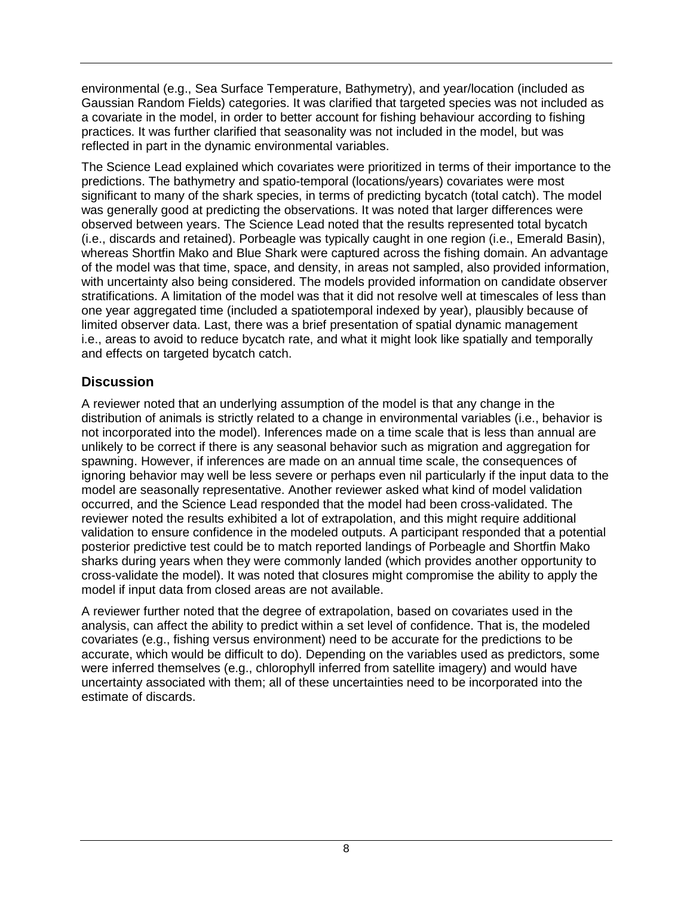environmental (e.g., Sea Surface Temperature, Bathymetry), and year/location (included as Gaussian Random Fields) categories. It was clarified that targeted species was not included as a covariate in the model, in order to better account for fishing behaviour according to fishing practices. It was further clarified that seasonality was not included in the model, but was reflected in part in the dynamic environmental variables.

The Science Lead explained which covariates were prioritized in terms of their importance to the predictions. The bathymetry and spatio-temporal (locations/years) covariates were most significant to many of the shark species, in terms of predicting bycatch (total catch). The model was generally good at predicting the observations. It was noted that larger differences were observed between years. The Science Lead noted that the results represented total bycatch (i.e., discards and retained). Porbeagle was typically caught in one region (i.e., Emerald Basin), whereas Shortfin Mako and Blue Shark were captured across the fishing domain. An advantage of the model was that time, space, and density, in areas not sampled, also provided information, with uncertainty also being considered. The models provided information on candidate observer stratifications. A limitation of the model was that it did not resolve well at timescales of less than one year aggregated time (included a spatiotemporal indexed by year), plausibly because of limited observer data. Last, there was a brief presentation of spatial dynamic management i.e., areas to avoid to reduce bycatch rate, and what it might look like spatially and temporally and effects on targeted bycatch catch.

# <span id="page-12-0"></span>**Discussion**

A reviewer noted that an underlying assumption of the model is that any change in the distribution of animals is strictly related to a change in environmental variables (i.e., behavior is not incorporated into the model). Inferences made on a time scale that is less than annual are unlikely to be correct if there is any seasonal behavior such as migration and aggregation for spawning. However, if inferences are made on an annual time scale, the consequences of ignoring behavior may well be less severe or perhaps even nil particularly if the input data to the model are seasonally representative. Another reviewer asked what kind of model validation occurred, and the Science Lead responded that the model had been cross-validated. The reviewer noted the results exhibited a lot of extrapolation, and this might require additional validation to ensure confidence in the modeled outputs. A participant responded that a potential posterior predictive test could be to match reported landings of Porbeagle and Shortfin Mako sharks during years when they were commonly landed (which provides another opportunity to cross-validate the model). It was noted that closures might compromise the ability to apply the model if input data from closed areas are not available.

A reviewer further noted that the degree of extrapolation, based on covariates used in the analysis, can affect the ability to predict within a set level of confidence. That is, the modeled covariates (e.g., fishing versus environment) need to be accurate for the predictions to be accurate, which would be difficult to do). Depending on the variables used as predictors, some were inferred themselves (e.g., chlorophyll inferred from satellite imagery) and would have uncertainty associated with them; all of these uncertainties need to be incorporated into the estimate of discards.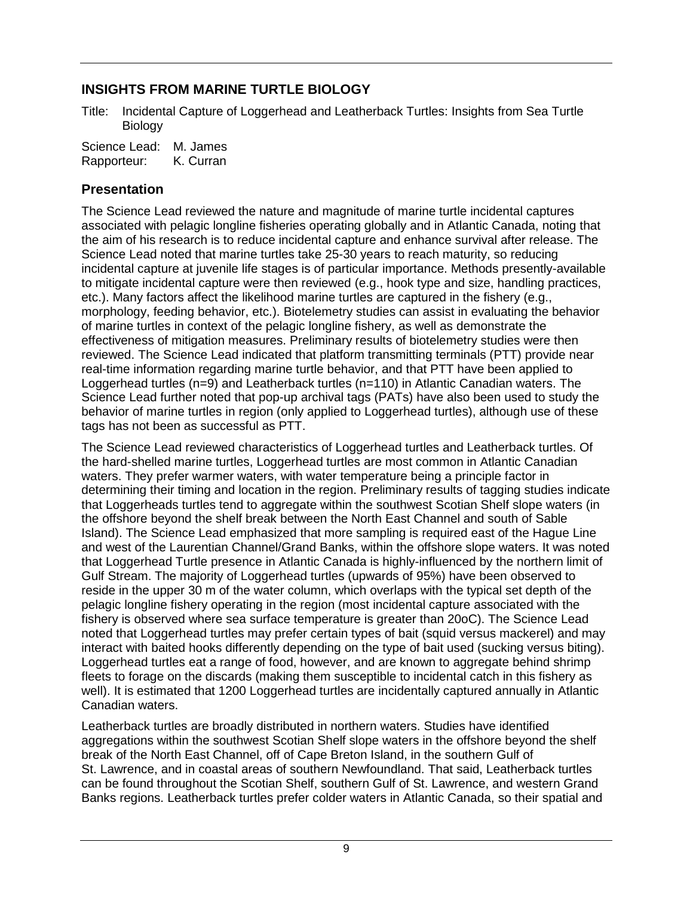# <span id="page-13-0"></span>**INSIGHTS FROM MARINE TURTLE BIOLOGY**

Title: Incidental Capture of Loggerhead and Leatherback Turtles: Insights from Sea Turtle Biology

Science Lead: M. James Rapporteur: K. Curran

## <span id="page-13-1"></span>**Presentation**

The Science Lead reviewed the nature and magnitude of marine turtle incidental captures associated with pelagic longline fisheries operating globally and in Atlantic Canada, noting that the aim of his research is to reduce incidental capture and enhance survival after release. The Science Lead noted that marine turtles take 25-30 years to reach maturity, so reducing incidental capture at juvenile life stages is of particular importance. Methods presently-available to mitigate incidental capture were then reviewed (e.g., hook type and size, handling practices, etc.). Many factors affect the likelihood marine turtles are captured in the fishery (e.g., morphology, feeding behavior, etc.). Biotelemetry studies can assist in evaluating the behavior of marine turtles in context of the pelagic longline fishery, as well as demonstrate the effectiveness of mitigation measures. Preliminary results of biotelemetry studies were then reviewed. The Science Lead indicated that platform transmitting terminals (PTT) provide near real-time information regarding marine turtle behavior, and that PTT have been applied to Loggerhead turtles (n=9) and Leatherback turtles (n=110) in Atlantic Canadian waters. The Science Lead further noted that pop-up archival tags (PATs) have also been used to study the behavior of marine turtles in region (only applied to Loggerhead turtles), although use of these tags has not been as successful as PTT.

The Science Lead reviewed characteristics of Loggerhead turtles and Leatherback turtles. Of the hard-shelled marine turtles, Loggerhead turtles are most common in Atlantic Canadian waters. They prefer warmer waters, with water temperature being a principle factor in determining their timing and location in the region. Preliminary results of tagging studies indicate that Loggerheads turtles tend to aggregate within the southwest Scotian Shelf slope waters (in the offshore beyond the shelf break between the North East Channel and south of Sable Island). The Science Lead emphasized that more sampling is required east of the Hague Line and west of the Laurentian Channel/Grand Banks, within the offshore slope waters. It was noted that Loggerhead Turtle presence in Atlantic Canada is highly-influenced by the northern limit of Gulf Stream. The majority of Loggerhead turtles (upwards of 95%) have been observed to reside in the upper 30 m of the water column, which overlaps with the typical set depth of the pelagic longline fishery operating in the region (most incidental capture associated with the fishery is observed where sea surface temperature is greater than 20oC). The Science Lead noted that Loggerhead turtles may prefer certain types of bait (squid versus mackerel) and may interact with baited hooks differently depending on the type of bait used (sucking versus biting). Loggerhead turtles eat a range of food, however, and are known to aggregate behind shrimp fleets to forage on the discards (making them susceptible to incidental catch in this fishery as well). It is estimated that 1200 Loggerhead turtles are incidentally captured annually in Atlantic Canadian waters.

Leatherback turtles are broadly distributed in northern waters. Studies have identified aggregations within the southwest Scotian Shelf slope waters in the offshore beyond the shelf break of the North East Channel, off of Cape Breton Island, in the southern Gulf of St. Lawrence, and in coastal areas of southern Newfoundland. That said, Leatherback turtles can be found throughout the Scotian Shelf, southern Gulf of St. Lawrence, and western Grand Banks regions. Leatherback turtles prefer colder waters in Atlantic Canada, so their spatial and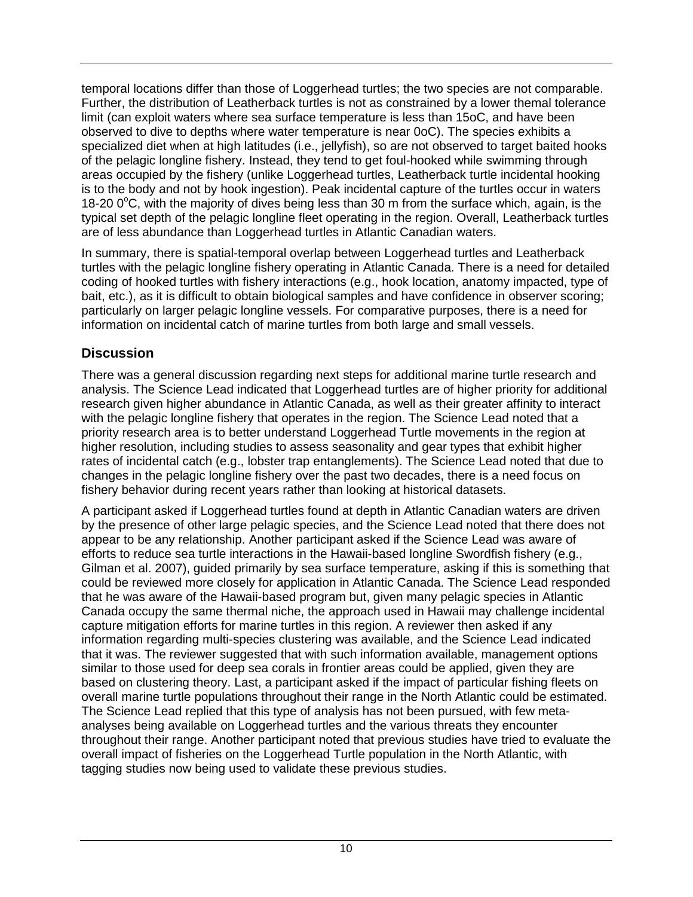temporal locations differ than those of Loggerhead turtles; the two species are not comparable. Further, the distribution of Leatherback turtles is not as constrained by a lower themal tolerance limit (can exploit waters where sea surface temperature is less than 15oC, and have been observed to dive to depths where water temperature is near 0oC). The species exhibits a specialized diet when at high latitudes (i.e., jellyfish), so are not observed to target baited hooks of the pelagic longline fishery. Instead, they tend to get foul-hooked while swimming through areas occupied by the fishery (unlike Loggerhead turtles, Leatherback turtle incidental hooking is to the body and not by hook ingestion). Peak incidental capture of the turtles occur in waters 18-20 0°C, with the majority of dives being less than 30 m from the surface which, again, is the typical set depth of the pelagic longline fleet operating in the region. Overall, Leatherback turtles are of less abundance than Loggerhead turtles in Atlantic Canadian waters.

In summary, there is spatial-temporal overlap between Loggerhead turtles and Leatherback turtles with the pelagic longline fishery operating in Atlantic Canada. There is a need for detailed coding of hooked turtles with fishery interactions (e.g., hook location, anatomy impacted, type of bait, etc.), as it is difficult to obtain biological samples and have confidence in observer scoring; particularly on larger pelagic longline vessels. For comparative purposes, there is a need for information on incidental catch of marine turtles from both large and small vessels.

# <span id="page-14-0"></span>**Discussion**

There was a general discussion regarding next steps for additional marine turtle research and analysis. The Science Lead indicated that Loggerhead turtles are of higher priority for additional research given higher abundance in Atlantic Canada, as well as their greater affinity to interact with the pelagic longline fishery that operates in the region. The Science Lead noted that a priority research area is to better understand Loggerhead Turtle movements in the region at higher resolution, including studies to assess seasonality and gear types that exhibit higher rates of incidental catch (e.g., lobster trap entanglements). The Science Lead noted that due to changes in the pelagic longline fishery over the past two decades, there is a need focus on fishery behavior during recent years rather than looking at historical datasets.

A participant asked if Loggerhead turtles found at depth in Atlantic Canadian waters are driven by the presence of other large pelagic species, and the Science Lead noted that there does not appear to be any relationship. Another participant asked if the Science Lead was aware of efforts to reduce sea turtle interactions in the Hawaii-based longline Swordfish fishery (e.g., Gilman et al. 2007), guided primarily by sea surface temperature, asking if this is something that could be reviewed more closely for application in Atlantic Canada. The Science Lead responded that he was aware of the Hawaii-based program but, given many pelagic species in Atlantic Canada occupy the same thermal niche, the approach used in Hawaii may challenge incidental capture mitigation efforts for marine turtles in this region. A reviewer then asked if any information regarding multi-species clustering was available, and the Science Lead indicated that it was. The reviewer suggested that with such information available, management options similar to those used for deep sea corals in frontier areas could be applied, given they are based on clustering theory. Last, a participant asked if the impact of particular fishing fleets on overall marine turtle populations throughout their range in the North Atlantic could be estimated. The Science Lead replied that this type of analysis has not been pursued, with few metaanalyses being available on Loggerhead turtles and the various threats they encounter throughout their range. Another participant noted that previous studies have tried to evaluate the overall impact of fisheries on the Loggerhead Turtle population in the North Atlantic, with tagging studies now being used to validate these previous studies.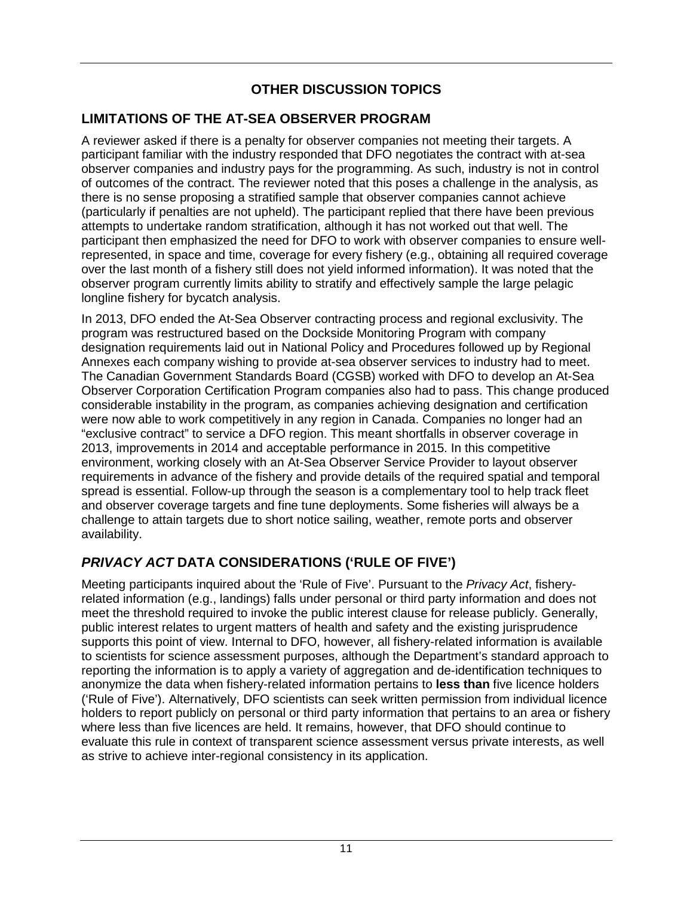# **OTHER DISCUSSION TOPICS**

# <span id="page-15-1"></span><span id="page-15-0"></span>**LIMITATIONS OF THE AT-SEA OBSERVER PROGRAM**

A reviewer asked if there is a penalty for observer companies not meeting their targets. A participant familiar with the industry responded that DFO negotiates the contract with at-sea observer companies and industry pays for the programming. As such, industry is not in control of outcomes of the contract. The reviewer noted that this poses a challenge in the analysis, as there is no sense proposing a stratified sample that observer companies cannot achieve (particularly if penalties are not upheld). The participant replied that there have been previous attempts to undertake random stratification, although it has not worked out that well. The participant then emphasized the need for DFO to work with observer companies to ensure wellrepresented, in space and time, coverage for every fishery (e.g., obtaining all required coverage over the last month of a fishery still does not yield informed information). It was noted that the observer program currently limits ability to stratify and effectively sample the large pelagic longline fishery for bycatch analysis.

In 2013, DFO ended the At-Sea Observer contracting process and regional exclusivity. The program was restructured based on the Dockside Monitoring Program with company designation requirements laid out in National Policy and Procedures followed up by Regional Annexes each company wishing to provide at-sea observer services to industry had to meet. The Canadian Government Standards Board (CGSB) worked with DFO to develop an At-Sea Observer Corporation Certification Program companies also had to pass. This change produced considerable instability in the program, as companies achieving designation and certification were now able to work competitively in any region in Canada. Companies no longer had an "exclusive contract" to service a DFO region. This meant shortfalls in observer coverage in 2013, improvements in 2014 and acceptable performance in 2015. In this competitive environment, working closely with an At-Sea Observer Service Provider to layout observer requirements in advance of the fishery and provide details of the required spatial and temporal spread is essential. Follow-up through the season is a complementary tool to help track fleet and observer coverage targets and fine tune deployments. Some fisheries will always be a challenge to attain targets due to short notice sailing, weather, remote ports and observer availability.

# <span id="page-15-2"></span>*PRIVACY ACT* **DATA CONSIDERATIONS ('RULE OF FIVE')**

Meeting participants inquired about the 'Rule of Five'. Pursuant to the *Privacy Act*, fisheryrelated information (e.g., landings) falls under personal or third party information and does not meet the threshold required to invoke the public interest clause for release publicly. Generally, public interest relates to urgent matters of health and safety and the existing jurisprudence supports this point of view. Internal to DFO, however, all fishery-related information is available to scientists for science assessment purposes, although the Department's standard approach to reporting the information is to apply a variety of aggregation and de-identification techniques to anonymize the data when fishery-related information pertains to **less than** five licence holders ('Rule of Five'). Alternatively, DFO scientists can seek written permission from individual licence holders to report publicly on personal or third party information that pertains to an area or fishery where less than five licences are held. It remains, however, that DFO should continue to evaluate this rule in context of transparent science assessment versus private interests, as well as strive to achieve inter-regional consistency in its application.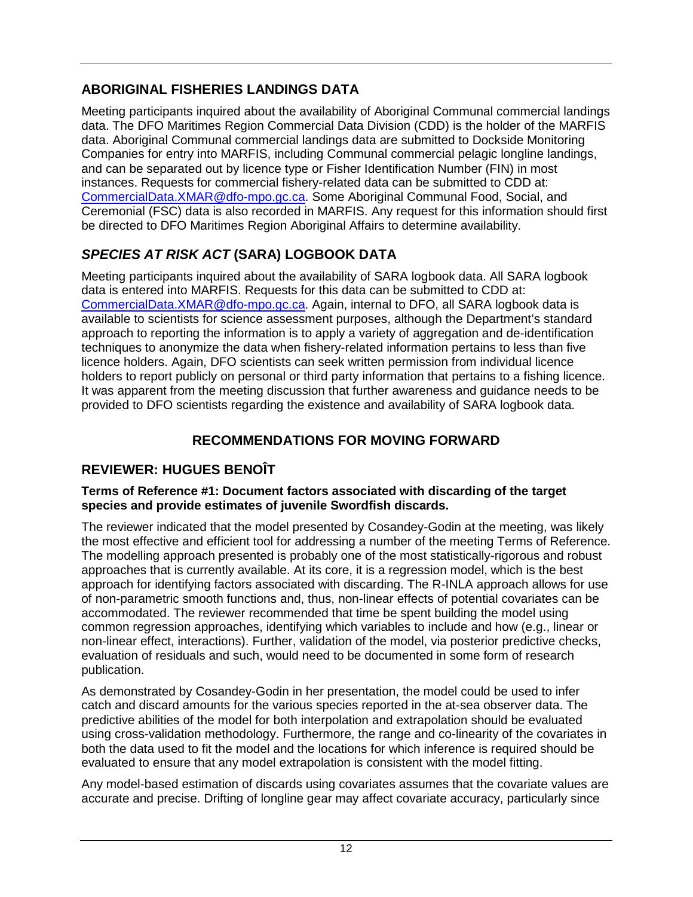# <span id="page-16-0"></span>**ABORIGINAL FISHERIES LANDINGS DATA**

Meeting participants inquired about the availability of Aboriginal Communal commercial landings data. The DFO Maritimes Region Commercial Data Division (CDD) is the holder of the MARFIS data. Aboriginal Communal commercial landings data are submitted to Dockside Monitoring Companies for entry into MARFIS, including Communal commercial pelagic longline landings, and can be separated out by licence type or Fisher Identification Number (FIN) in most instances. Requests for commercial fishery-related data can be submitted to CDD at: [CommercialData.XMAR@dfo-mpo.gc.ca.](mailto:CommercialData.XMAR@dfo-mpo.gc.ca) Some Aboriginal Communal Food, Social, and Ceremonial (FSC) data is also recorded in MARFIS. Any request for this information should first be directed to DFO Maritimes Region Aboriginal Affairs to determine availability.

# <span id="page-16-1"></span>*SPECIES AT RISK ACT* **(SARA) LOGBOOK DATA**

Meeting participants inquired about the availability of SARA logbook data. All SARA logbook data is entered into MARFIS. Requests for this data can be submitted to CDD at: [CommercialData.XMAR@dfo-mpo.gc.ca.](mailto:CommercialData.XMAR@dfo-mpo.gc.ca) Again, internal to DFO, all SARA logbook data is available to scientists for science assessment purposes, although the Department's standard approach to reporting the information is to apply a variety of aggregation and de-identification techniques to anonymize the data when fishery-related information pertains to less than five licence holders. Again, DFO scientists can seek written permission from individual licence holders to report publicly on personal or third party information that pertains to a fishing licence. It was apparent from the meeting discussion that further awareness and guidance needs to be provided to DFO scientists regarding the existence and availability of SARA logbook data.

# **RECOMMENDATIONS FOR MOVING FORWARD**

# <span id="page-16-3"></span><span id="page-16-2"></span>**REVIEWER: HUGUES BENOÎT**

## **Terms of Reference #1: Document factors associated with discarding of the target species and provide estimates of juvenile Swordfish discards.**

The reviewer indicated that the model presented by Cosandey-Godin at the meeting, was likely the most effective and efficient tool for addressing a number of the meeting Terms of Reference. The modelling approach presented is probably one of the most statistically-rigorous and robust approaches that is currently available. At its core, it is a regression model, which is the best approach for identifying factors associated with discarding. The R-INLA approach allows for use of non-parametric smooth functions and, thus, non-linear effects of potential covariates can be accommodated. The reviewer recommended that time be spent building the model using common regression approaches, identifying which variables to include and how (e.g., linear or non-linear effect, interactions). Further, validation of the model, via posterior predictive checks, evaluation of residuals and such, would need to be documented in some form of research publication.

As demonstrated by Cosandey-Godin in her presentation, the model could be used to infer catch and discard amounts for the various species reported in the at-sea observer data. The predictive abilities of the model for both interpolation and extrapolation should be evaluated using cross-validation methodology. Furthermore, the range and co-linearity of the covariates in both the data used to fit the model and the locations for which inference is required should be evaluated to ensure that any model extrapolation is consistent with the model fitting.

Any model-based estimation of discards using covariates assumes that the covariate values are accurate and precise. Drifting of longline gear may affect covariate accuracy, particularly since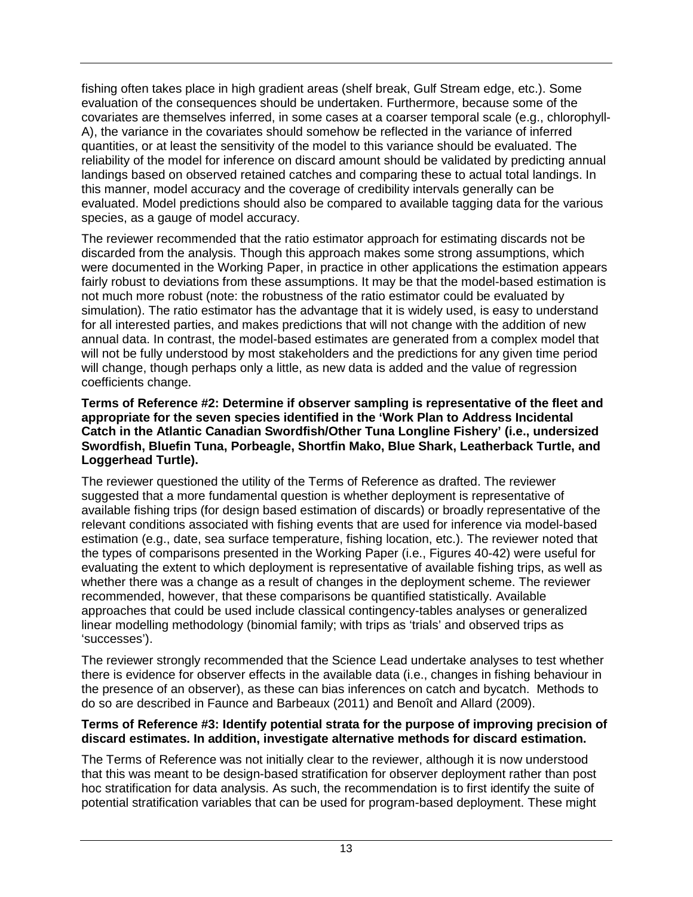fishing often takes place in high gradient areas (shelf break, Gulf Stream edge, etc.). Some evaluation of the consequences should be undertaken. Furthermore, because some of the covariates are themselves inferred, in some cases at a coarser temporal scale (e.g., chlorophyll-A), the variance in the covariates should somehow be reflected in the variance of inferred quantities, or at least the sensitivity of the model to this variance should be evaluated. The reliability of the model for inference on discard amount should be validated by predicting annual landings based on observed retained catches and comparing these to actual total landings. In this manner, model accuracy and the coverage of credibility intervals generally can be evaluated. Model predictions should also be compared to available tagging data for the various species, as a gauge of model accuracy.

The reviewer recommended that the ratio estimator approach for estimating discards not be discarded from the analysis. Though this approach makes some strong assumptions, which were documented in the Working Paper, in practice in other applications the estimation appears fairly robust to deviations from these assumptions. It may be that the model-based estimation is not much more robust (note: the robustness of the ratio estimator could be evaluated by simulation). The ratio estimator has the advantage that it is widely used, is easy to understand for all interested parties, and makes predictions that will not change with the addition of new annual data. In contrast, the model-based estimates are generated from a complex model that will not be fully understood by most stakeholders and the predictions for any given time period will change, though perhaps only a little, as new data is added and the value of regression coefficients change.

#### **Terms of Reference #2: Determine if observer sampling is representative of the fleet and appropriate for the seven species identified in the 'Work Plan to Address Incidental Catch in the Atlantic Canadian Swordfish/Other Tuna Longline Fishery' (i.e., undersized Swordfish, Bluefin Tuna, Porbeagle, Shortfin Mako, Blue Shark, Leatherback Turtle, and Loggerhead Turtle).**

The reviewer questioned the utility of the Terms of Reference as drafted. The reviewer suggested that a more fundamental question is whether deployment is representative of available fishing trips (for design based estimation of discards) or broadly representative of the relevant conditions associated with fishing events that are used for inference via model-based estimation (e.g., date, sea surface temperature, fishing location, etc.). The reviewer noted that the types of comparisons presented in the Working Paper (i.e., Figures 40-42) were useful for evaluating the extent to which deployment is representative of available fishing trips, as well as whether there was a change as a result of changes in the deployment scheme. The reviewer recommended, however, that these comparisons be quantified statistically. Available approaches that could be used include classical contingency-tables analyses or generalized linear modelling methodology (binomial family; with trips as 'trials' and observed trips as 'successes').

The reviewer strongly recommended that the Science Lead undertake analyses to test whether there is evidence for observer effects in the available data (i.e., changes in fishing behaviour in the presence of an observer), as these can bias inferences on catch and bycatch. Methods to do so are described in Faunce and Barbeaux (2011) and Benoît and Allard (2009).

### **Terms of Reference #3: Identify potential strata for the purpose of improving precision of discard estimates. In addition, investigate alternative methods for discard estimation.**

The Terms of Reference was not initially clear to the reviewer, although it is now understood that this was meant to be design-based stratification for observer deployment rather than post hoc stratification for data analysis. As such, the recommendation is to first identify the suite of potential stratification variables that can be used for program-based deployment. These might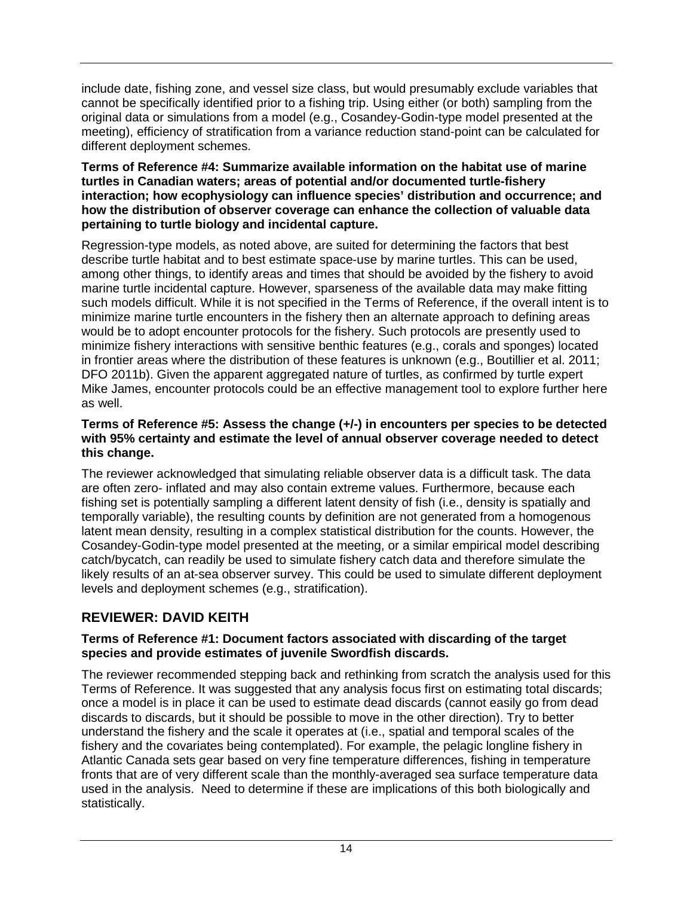include date, fishing zone, and vessel size class, but would presumably exclude variables that cannot be specifically identified prior to a fishing trip. Using either (or both) sampling from the original data or simulations from a model (e.g., Cosandey-Godin-type model presented at the meeting), efficiency of stratification from a variance reduction stand-point can be calculated for different deployment schemes.

#### **Terms of Reference #4: Summarize available information on the habitat use of marine turtles in Canadian waters; areas of potential and/or documented turtle-fishery interaction; how ecophysiology can influence species' distribution and occurrence; and how the distribution of observer coverage can enhance the collection of valuable data pertaining to turtle biology and incidental capture.**

Regression-type models, as noted above, are suited for determining the factors that best describe turtle habitat and to best estimate space-use by marine turtles. This can be used, among other things, to identify areas and times that should be avoided by the fishery to avoid marine turtle incidental capture. However, sparseness of the available data may make fitting such models difficult. While it is not specified in the Terms of Reference, if the overall intent is to minimize marine turtle encounters in the fishery then an alternate approach to defining areas would be to adopt encounter protocols for the fishery. Such protocols are presently used to minimize fishery interactions with sensitive benthic features (e.g., corals and sponges) located in frontier areas where the distribution of these features is unknown (e.g., Boutillier et al. 2011; DFO 2011b). Given the apparent aggregated nature of turtles, as confirmed by turtle expert Mike James, encounter protocols could be an effective management tool to explore further here as well.

### **Terms of Reference #5: Assess the change (+/-) in encounters per species to be detected with 95% certainty and estimate the level of annual observer coverage needed to detect this change.**

The reviewer acknowledged that simulating reliable observer data is a difficult task. The data are often zero- inflated and may also contain extreme values. Furthermore, because each fishing set is potentially sampling a different latent density of fish (i.e., density is spatially and temporally variable), the resulting counts by definition are not generated from a homogenous latent mean density, resulting in a complex statistical distribution for the counts. However, the Cosandey-Godin-type model presented at the meeting, or a similar empirical model describing catch/bycatch, can readily be used to simulate fishery catch data and therefore simulate the likely results of an at-sea observer survey. This could be used to simulate different deployment levels and deployment schemes (e.g., stratification).

# <span id="page-18-0"></span>**REVIEWER: DAVID KEITH**

### **Terms of Reference #1: Document factors associated with discarding of the target species and provide estimates of juvenile Swordfish discards.**

The reviewer recommended stepping back and rethinking from scratch the analysis used for this Terms of Reference. It was suggested that any analysis focus first on estimating total discards; once a model is in place it can be used to estimate dead discards (cannot easily go from dead discards to discards, but it should be possible to move in the other direction). Try to better understand the fishery and the scale it operates at (i.e., spatial and temporal scales of the fishery and the covariates being contemplated). For example, the pelagic longline fishery in Atlantic Canada sets gear based on very fine temperature differences, fishing in temperature fronts that are of very different scale than the monthly-averaged sea surface temperature data used in the analysis. Need to determine if these are implications of this both biologically and statistically.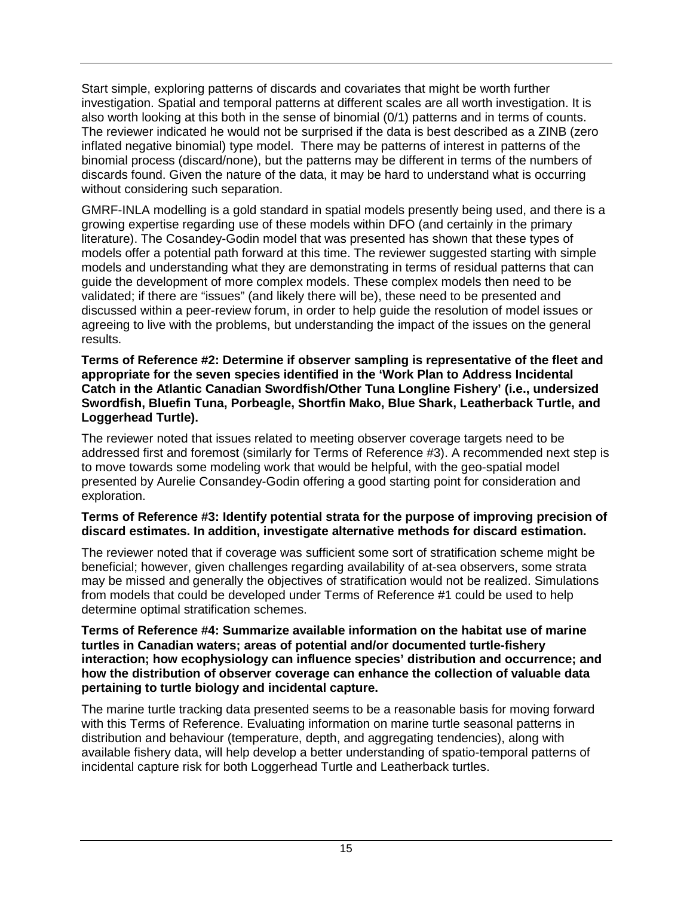Start simple, exploring patterns of discards and covariates that might be worth further investigation. Spatial and temporal patterns at different scales are all worth investigation. It is also worth looking at this both in the sense of binomial (0/1) patterns and in terms of counts. The reviewer indicated he would not be surprised if the data is best described as a ZINB (zero inflated negative binomial) type model. There may be patterns of interest in patterns of the binomial process (discard/none), but the patterns may be different in terms of the numbers of discards found. Given the nature of the data, it may be hard to understand what is occurring without considering such separation.

GMRF-INLA modelling is a gold standard in spatial models presently being used, and there is a growing expertise regarding use of these models within DFO (and certainly in the primary literature). The Cosandey-Godin model that was presented has shown that these types of models offer a potential path forward at this time. The reviewer suggested starting with simple models and understanding what they are demonstrating in terms of residual patterns that can guide the development of more complex models. These complex models then need to be validated; if there are "issues" (and likely there will be), these need to be presented and discussed within a peer-review forum, in order to help guide the resolution of model issues or agreeing to live with the problems, but understanding the impact of the issues on the general results.

#### **Terms of Reference #2: Determine if observer sampling is representative of the fleet and appropriate for the seven species identified in the 'Work Plan to Address Incidental Catch in the Atlantic Canadian Swordfish/Other Tuna Longline Fishery' (i.e., undersized Swordfish, Bluefin Tuna, Porbeagle, Shortfin Mako, Blue Shark, Leatherback Turtle, and Loggerhead Turtle).**

The reviewer noted that issues related to meeting observer coverage targets need to be addressed first and foremost (similarly for Terms of Reference #3). A recommended next step is to move towards some modeling work that would be helpful, with the geo-spatial model presented by Aurelie Consandey-Godin offering a good starting point for consideration and exploration.

#### **Terms of Reference #3: Identify potential strata for the purpose of improving precision of discard estimates. In addition, investigate alternative methods for discard estimation.**

The reviewer noted that if coverage was sufficient some sort of stratification scheme might be beneficial; however, given challenges regarding availability of at-sea observers, some strata may be missed and generally the objectives of stratification would not be realized. Simulations from models that could be developed under Terms of Reference #1 could be used to help determine optimal stratification schemes.

#### **Terms of Reference #4: Summarize available information on the habitat use of marine turtles in Canadian waters; areas of potential and/or documented turtle-fishery interaction; how ecophysiology can influence species' distribution and occurrence; and how the distribution of observer coverage can enhance the collection of valuable data pertaining to turtle biology and incidental capture.**

The marine turtle tracking data presented seems to be a reasonable basis for moving forward with this Terms of Reference. Evaluating information on marine turtle seasonal patterns in distribution and behaviour (temperature, depth, and aggregating tendencies), along with available fishery data, will help develop a better understanding of spatio-temporal patterns of incidental capture risk for both Loggerhead Turtle and Leatherback turtles.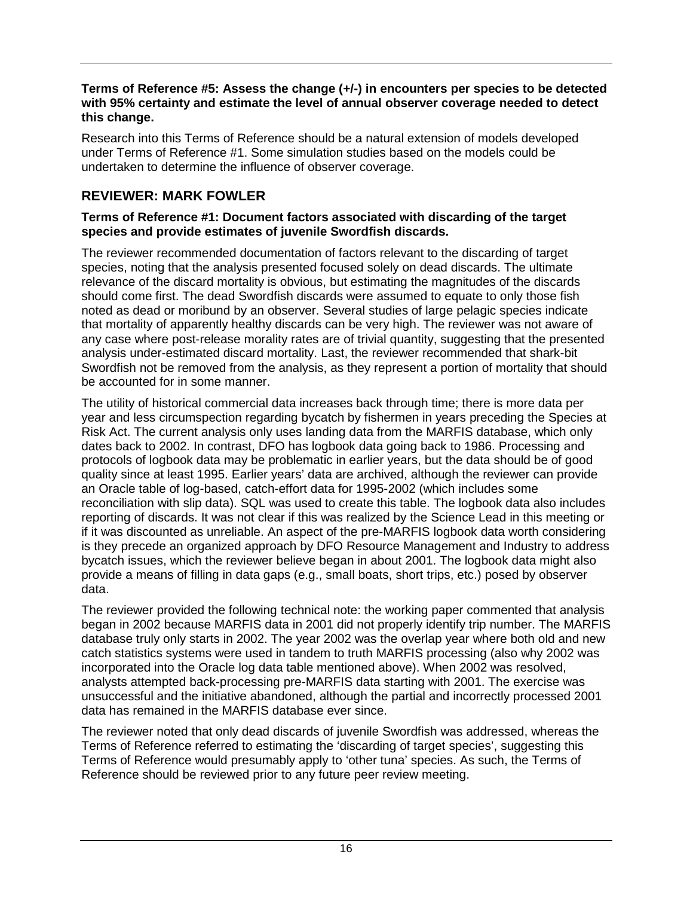### **Terms of Reference #5: Assess the change (+/-) in encounters per species to be detected with 95% certainty and estimate the level of annual observer coverage needed to detect this change.**

Research into this Terms of Reference should be a natural extension of models developed under Terms of Reference #1. Some simulation studies based on the models could be undertaken to determine the influence of observer coverage.

## <span id="page-20-0"></span>**REVIEWER: MARK FOWLER**

#### **Terms of Reference #1: Document factors associated with discarding of the target species and provide estimates of juvenile Swordfish discards.**

The reviewer recommended documentation of factors relevant to the discarding of target species, noting that the analysis presented focused solely on dead discards. The ultimate relevance of the discard mortality is obvious, but estimating the magnitudes of the discards should come first. The dead Swordfish discards were assumed to equate to only those fish noted as dead or moribund by an observer. Several studies of large pelagic species indicate that mortality of apparently healthy discards can be very high. The reviewer was not aware of any case where post-release morality rates are of trivial quantity, suggesting that the presented analysis under-estimated discard mortality. Last, the reviewer recommended that shark-bit Swordfish not be removed from the analysis, as they represent a portion of mortality that should be accounted for in some manner.

The utility of historical commercial data increases back through time; there is more data per year and less circumspection regarding bycatch by fishermen in years preceding the Species at Risk Act. The current analysis only uses landing data from the MARFIS database, which only dates back to 2002. In contrast, DFO has logbook data going back to 1986. Processing and protocols of logbook data may be problematic in earlier years, but the data should be of good quality since at least 1995. Earlier years' data are archived, although the reviewer can provide an Oracle table of log-based, catch-effort data for 1995-2002 (which includes some reconciliation with slip data). SQL was used to create this table. The logbook data also includes reporting of discards. It was not clear if this was realized by the Science Lead in this meeting or if it was discounted as unreliable. An aspect of the pre-MARFIS logbook data worth considering is they precede an organized approach by DFO Resource Management and Industry to address bycatch issues, which the reviewer believe began in about 2001. The logbook data might also provide a means of filling in data gaps (e.g., small boats, short trips, etc.) posed by observer data.

The reviewer provided the following technical note: the working paper commented that analysis began in 2002 because MARFIS data in 2001 did not properly identify trip number. The MARFIS database truly only starts in 2002. The year 2002 was the overlap year where both old and new catch statistics systems were used in tandem to truth MARFIS processing (also why 2002 was incorporated into the Oracle log data table mentioned above). When 2002 was resolved, analysts attempted back-processing pre-MARFIS data starting with 2001. The exercise was unsuccessful and the initiative abandoned, although the partial and incorrectly processed 2001 data has remained in the MARFIS database ever since.

The reviewer noted that only dead discards of juvenile Swordfish was addressed, whereas the Terms of Reference referred to estimating the 'discarding of target species', suggesting this Terms of Reference would presumably apply to 'other tuna' species. As such, the Terms of Reference should be reviewed prior to any future peer review meeting.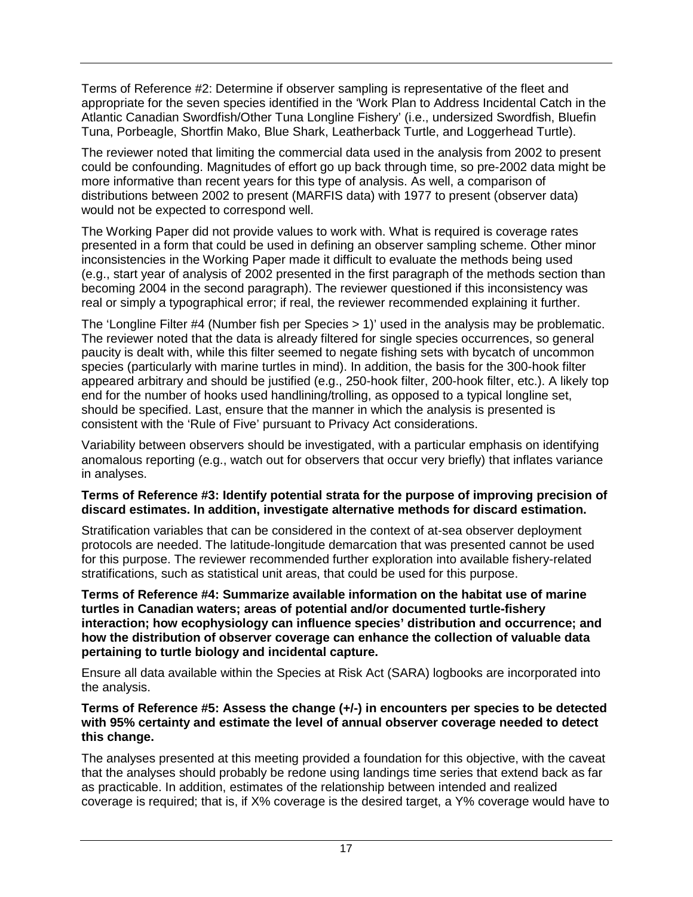Terms of Reference #2: Determine if observer sampling is representative of the fleet and appropriate for the seven species identified in the 'Work Plan to Address Incidental Catch in the Atlantic Canadian Swordfish/Other Tuna Longline Fishery' (i.e., undersized Swordfish, Bluefin Tuna, Porbeagle, Shortfin Mako, Blue Shark, Leatherback Turtle, and Loggerhead Turtle).

The reviewer noted that limiting the commercial data used in the analysis from 2002 to present could be confounding. Magnitudes of effort go up back through time, so pre-2002 data might be more informative than recent years for this type of analysis. As well, a comparison of distributions between 2002 to present (MARFIS data) with 1977 to present (observer data) would not be expected to correspond well.

The Working Paper did not provide values to work with. What is required is coverage rates presented in a form that could be used in defining an observer sampling scheme. Other minor inconsistencies in the Working Paper made it difficult to evaluate the methods being used (e.g., start year of analysis of 2002 presented in the first paragraph of the methods section than becoming 2004 in the second paragraph). The reviewer questioned if this inconsistency was real or simply a typographical error; if real, the reviewer recommended explaining it further.

The 'Longline Filter #4 (Number fish per Species > 1)' used in the analysis may be problematic. The reviewer noted that the data is already filtered for single species occurrences, so general paucity is dealt with, while this filter seemed to negate fishing sets with bycatch of uncommon species (particularly with marine turtles in mind). In addition, the basis for the 300-hook filter appeared arbitrary and should be justified (e.g., 250-hook filter, 200-hook filter, etc.). A likely top end for the number of hooks used handlining/trolling, as opposed to a typical longline set, should be specified. Last, ensure that the manner in which the analysis is presented is consistent with the 'Rule of Five' pursuant to Privacy Act considerations.

Variability between observers should be investigated, with a particular emphasis on identifying anomalous reporting (e.g., watch out for observers that occur very briefly) that inflates variance in analyses.

### **Terms of Reference #3: Identify potential strata for the purpose of improving precision of discard estimates. In addition, investigate alternative methods for discard estimation.**

Stratification variables that can be considered in the context of at-sea observer deployment protocols are needed. The latitude-longitude demarcation that was presented cannot be used for this purpose. The reviewer recommended further exploration into available fishery-related stratifications, such as statistical unit areas, that could be used for this purpose.

**Terms of Reference #4: Summarize available information on the habitat use of marine turtles in Canadian waters; areas of potential and/or documented turtle-fishery interaction; how ecophysiology can influence species' distribution and occurrence; and how the distribution of observer coverage can enhance the collection of valuable data pertaining to turtle biology and incidental capture.** 

Ensure all data available within the Species at Risk Act (SARA) logbooks are incorporated into the analysis.

#### **Terms of Reference #5: Assess the change (+/-) in encounters per species to be detected with 95% certainty and estimate the level of annual observer coverage needed to detect this change.**

The analyses presented at this meeting provided a foundation for this objective, with the caveat that the analyses should probably be redone using landings time series that extend back as far as practicable. In addition, estimates of the relationship between intended and realized coverage is required; that is, if X% coverage is the desired target, a Y% coverage would have to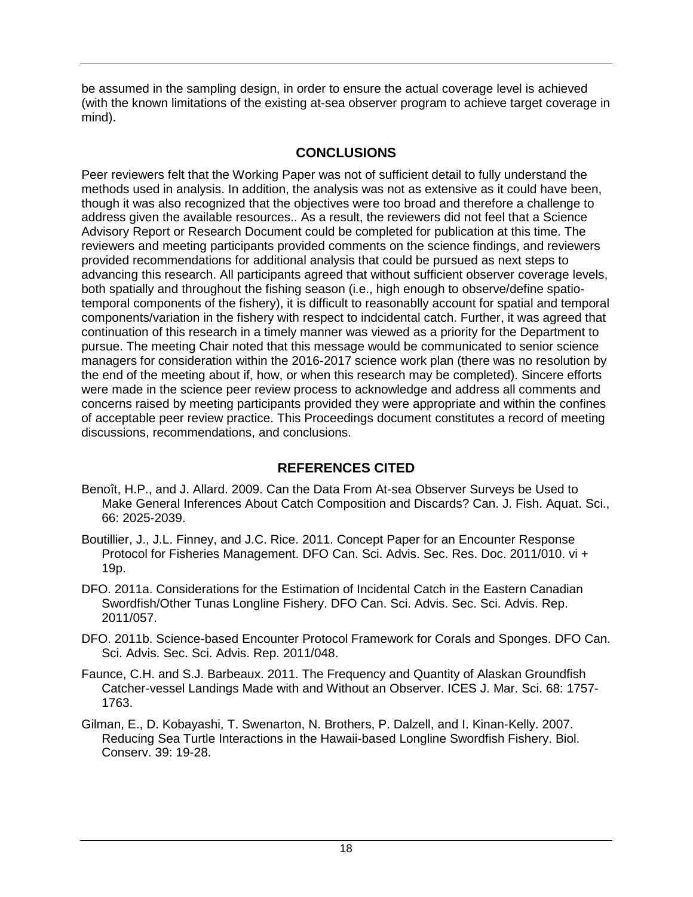be assumed in the sampling design, in order to ensure the actual coverage level is achieved (with the known limitations of the existing at-sea observer program to achieve target coverage in mind).

## **CONCLUSIONS**

<span id="page-22-0"></span>Peer reviewers felt that the Working Paper was not of sufficient detail to fully understand the methods used in analysis. In addition, the analysis was not as extensive as it could have been, though it was also recognized that the objectives were too broad and therefore a challenge to address given the available resources.. As a result, the reviewers did not feel that a Science Advisory Report or Research Document could be completed for publication at this time. The reviewers and meeting participants provided comments on the science findings, and reviewers provided recommendations for additional analysis that could be pursued as next steps to advancing this research. All participants agreed that without sufficient observer coverage levels, both spatially and throughout the fishing season (i.e., high enough to observe/define spatiotemporal components of the fishery), it is difficult to reasonablly account for spatial and temporal components/variation in the fishery with respect to indcidental catch. Further, it was agreed that continuation of this research in a timely manner was viewed as a priority for the Department to pursue. The meeting Chair noted that this message would be communicated to senior science managers for consideration within the 2016-2017 science work plan (there was no resolution by the end of the meeting about if, how, or when this research may be completed). Sincere efforts were made in the science peer review process to acknowledge and address all comments and concerns raised by meeting participants provided they were appropriate and within the confines of acceptable peer review practice. This Proceedings document constitutes a record of meeting discussions, recommendations, and conclusions.

# **REFERENCES CITED**

- <span id="page-22-1"></span>Benoît, H.P., and J. Allard. 2009. Can the Data From At-sea Observer Surveys be Used to Make General Inferences About Catch Composition and Discards? Can. J. Fish. Aquat. Sci., 66: 2025-2039.
- Boutillier, J., J.L. Finney, and J.C. Rice. 2011. Concept Paper for an Encounter Response Protocol for Fisheries Management. DFO Can. Sci. Advis. Sec. Res. Doc. 2011/010. vi + 19p.
- DFO. 2011a. Considerations for the Estimation of Incidental Catch in the Eastern Canadian Swordfish/Other Tunas Longline Fishery. DFO Can. Sci. Advis. Sec. Sci. Advis. Rep. 2011/057.
- DFO. 2011b. Science-based Encounter Protocol Framework for Corals and Sponges. DFO Can. Sci. Advis. Sec. Sci. Advis. Rep. 2011/048.
- Faunce, C.H. and S.J. Barbeaux. 2011. The Frequency and Quantity of Alaskan Groundfish Catcher-vessel Landings Made with and Without an Observer. ICES J. Mar. Sci. 68: 1757- 1763.
- Gilman, E., D. Kobayashi, T. Swenarton, N. Brothers, P. Dalzell, and I. Kinan-Kelly. 2007. Reducing Sea Turtle Interactions in the Hawaii-based Longline Swordfish Fishery. Biol. Conserv. 39: 19-28.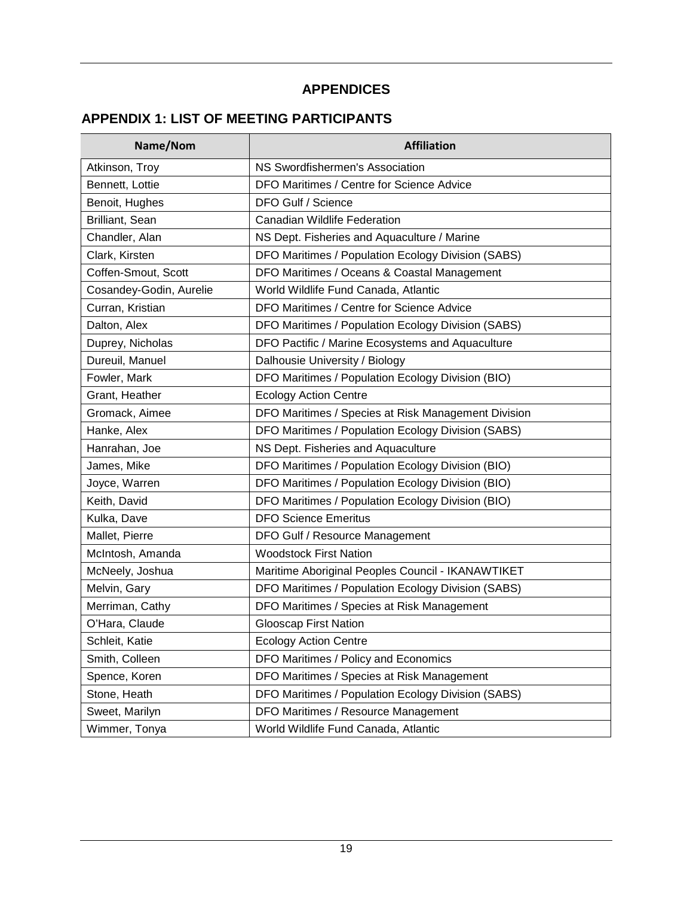# **APPENDICES**

# <span id="page-23-1"></span><span id="page-23-0"></span>**APPENDIX 1: LIST OF MEETING PARTICIPANTS**

| Name/Nom                | <b>Affiliation</b>                                  |
|-------------------------|-----------------------------------------------------|
| Atkinson, Troy          | NS Swordfishermen's Association                     |
| Bennett, Lottie         | DFO Maritimes / Centre for Science Advice           |
| Benoit, Hughes          | DFO Gulf / Science                                  |
| Brilliant, Sean         | <b>Canadian Wildlife Federation</b>                 |
| Chandler, Alan          | NS Dept. Fisheries and Aquaculture / Marine         |
| Clark, Kirsten          | DFO Maritimes / Population Ecology Division (SABS)  |
| Coffen-Smout, Scott     | DFO Maritimes / Oceans & Coastal Management         |
| Cosandey-Godin, Aurelie | World Wildlife Fund Canada, Atlantic                |
| Curran, Kristian        | DFO Maritimes / Centre for Science Advice           |
| Dalton, Alex            | DFO Maritimes / Population Ecology Division (SABS)  |
| Duprey, Nicholas        | DFO Pactific / Marine Ecosystems and Aquaculture    |
| Dureuil, Manuel         | Dalhousie University / Biology                      |
| Fowler, Mark            | DFO Maritimes / Population Ecology Division (BIO)   |
| Grant, Heather          | <b>Ecology Action Centre</b>                        |
| Gromack, Aimee          | DFO Maritimes / Species at Risk Management Division |
| Hanke, Alex             | DFO Maritimes / Population Ecology Division (SABS)  |
| Hanrahan, Joe           | NS Dept. Fisheries and Aquaculture                  |
| James, Mike             | DFO Maritimes / Population Ecology Division (BIO)   |
| Joyce, Warren           | DFO Maritimes / Population Ecology Division (BIO)   |
| Keith, David            | DFO Maritimes / Population Ecology Division (BIO)   |
| Kulka, Dave             | <b>DFO Science Emeritus</b>                         |
| Mallet, Pierre          | DFO Gulf / Resource Management                      |
| McIntosh, Amanda        | <b>Woodstock First Nation</b>                       |
| McNeely, Joshua         | Maritime Aboriginal Peoples Council - IKANAWTIKET   |
| Melvin, Gary            | DFO Maritimes / Population Ecology Division (SABS)  |
| Merriman, Cathy         | DFO Maritimes / Species at Risk Management          |
| O'Hara, Claude          | <b>Glooscap First Nation</b>                        |
| Schleit, Katie          | <b>Ecology Action Centre</b>                        |
| Smith, Colleen          | DFO Maritimes / Policy and Economics                |
| Spence, Koren           | DFO Maritimes / Species at Risk Management          |
| Stone, Heath            | DFO Maritimes / Population Ecology Division (SABS)  |
| Sweet, Marilyn          | DFO Maritimes / Resource Management                 |
| Wimmer, Tonya           | World Wildlife Fund Canada, Atlantic                |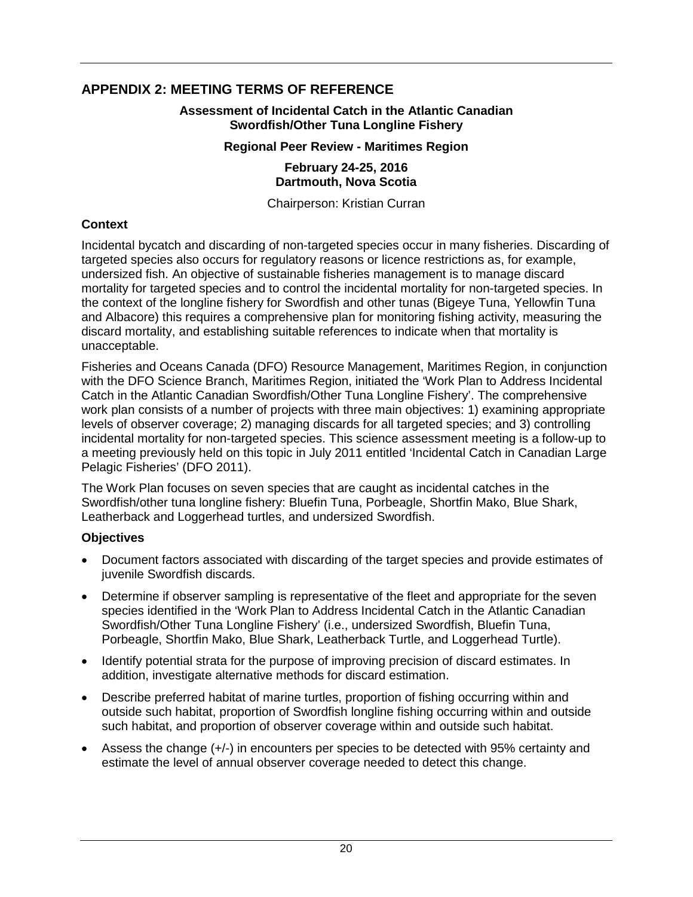## <span id="page-24-0"></span>**APPENDIX 2: MEETING TERMS OF REFERENCE**

**Assessment of Incidental Catch in the Atlantic Canadian Swordfish/Other Tuna Longline Fishery**

#### **Regional Peer Review - Maritimes Region**

#### **February 24-25, 2016 Dartmouth, Nova Scotia**

Chairperson: Kristian Curran

### **Context**

Incidental bycatch and discarding of non-targeted species occur in many fisheries. Discarding of targeted species also occurs for regulatory reasons or licence restrictions as, for example, undersized fish. An objective of sustainable fisheries management is to manage discard mortality for targeted species and to control the incidental mortality for non-targeted species. In the context of the longline fishery for Swordfish and other tunas (Bigeye Tuna, Yellowfin Tuna and Albacore) this requires a comprehensive plan for monitoring fishing activity, measuring the discard mortality, and establishing suitable references to indicate when that mortality is unacceptable.

Fisheries and Oceans Canada (DFO) Resource Management, Maritimes Region, in conjunction with the DFO Science Branch, Maritimes Region, initiated the 'Work Plan to Address Incidental Catch in the Atlantic Canadian Swordfish/Other Tuna Longline Fishery'. The comprehensive work plan consists of a number of projects with three main objectives: 1) examining appropriate levels of observer coverage; 2) managing discards for all targeted species; and 3) controlling incidental mortality for non-targeted species. This science assessment meeting is a follow-up to a meeting previously held on this topic in July 2011 entitled 'Incidental Catch in Canadian Large Pelagic Fisheries' (DFO 2011).

The Work Plan focuses on seven species that are caught as incidental catches in the Swordfish/other tuna longline fishery: Bluefin Tuna, Porbeagle, Shortfin Mako, Blue Shark, Leatherback and Loggerhead turtles, and undersized Swordfish.

### **Objectives**

- Document factors associated with discarding of the target species and provide estimates of juvenile Swordfish discards.
- Determine if observer sampling is representative of the fleet and appropriate for the seven species identified in the 'Work Plan to Address Incidental Catch in the Atlantic Canadian Swordfish/Other Tuna Longline Fishery' (i.e., undersized Swordfish, Bluefin Tuna, Porbeagle, Shortfin Mako, Blue Shark, Leatherback Turtle, and Loggerhead Turtle).
- Identify potential strata for the purpose of improving precision of discard estimates. In addition, investigate alternative methods for discard estimation.
- Describe preferred habitat of marine turtles, proportion of fishing occurring within and outside such habitat, proportion of Swordfish longline fishing occurring within and outside such habitat, and proportion of observer coverage within and outside such habitat.
- Assess the change (+/-) in encounters per species to be detected with 95% certainty and estimate the level of annual observer coverage needed to detect this change.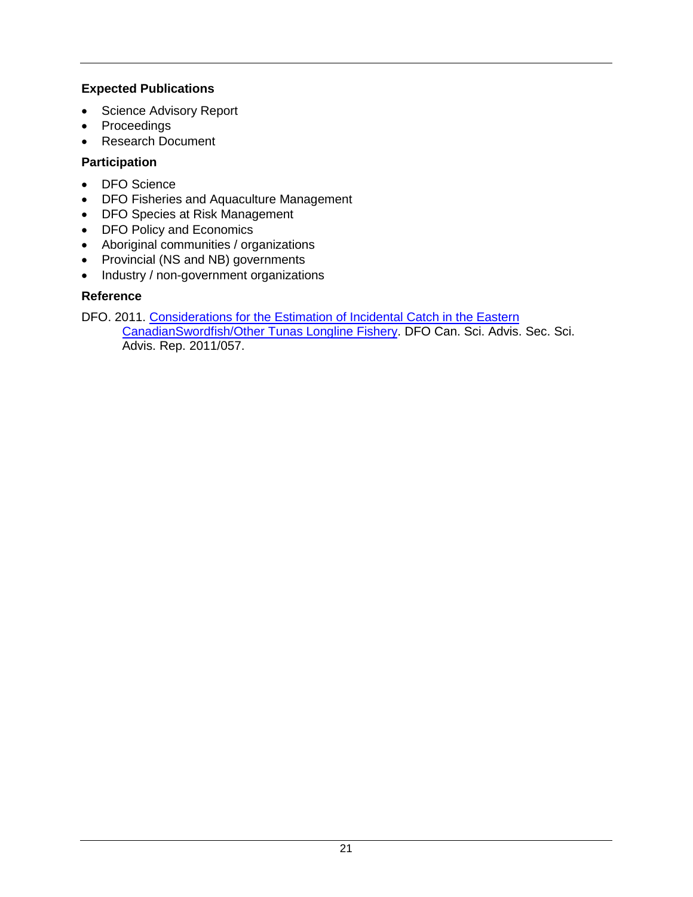## **Expected Publications**

- Science Advisory Report
- Proceedings
- Research Document

## **Participation**

- DFO Science
- DFO Fisheries and Aquaculture Management
- DFO Species at Risk Management
- DFO Policy and Economics
- Aboriginal communities / organizations
- Provincial (NS and NB) governments
- Industry / non-government organizations

## **Reference**

DFO. 2011. Considerations for the Estimation of Incidental Catch in the Eastern [CanadianSwordfish/Other Tunas Longline Fishery.](http://www.dfo-mpo.gc.ca/csas-sccs/Publications/SAR-AS/2011/2011_057-eng.html) DFO Can. Sci. Advis. Sec. Sci. Advis. Rep. 2011/057.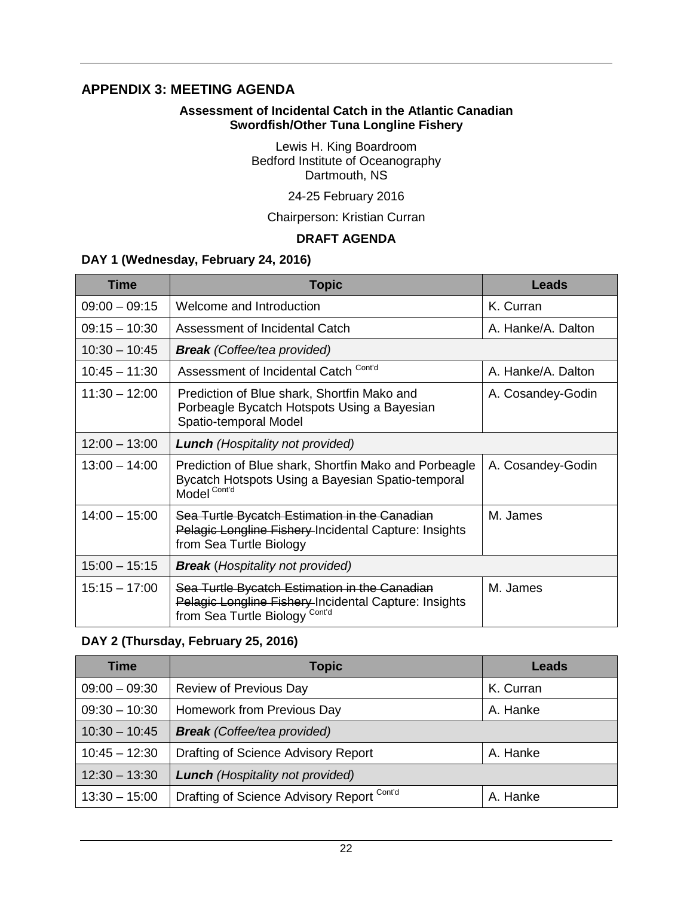## <span id="page-26-0"></span>**APPENDIX 3: MEETING AGENDA**

#### **Assessment of Incidental Catch in the Atlantic Canadian Swordfish/Other Tuna Longline Fishery**

Lewis H. King Boardroom Bedford Institute of Oceanography Dartmouth, NS

## 24-25 February 2016

Chairperson: Kristian Curran

### **DRAFT AGENDA**

### **DAY 1 (Wednesday, February 24, 2016)**

| <b>Time</b>     | <b>Topic</b>                                                                                                                                        | Leads              |
|-----------------|-----------------------------------------------------------------------------------------------------------------------------------------------------|--------------------|
| $09:00 - 09:15$ | Welcome and Introduction                                                                                                                            | K. Curran          |
| $09:15 - 10:30$ | Assessment of Incidental Catch                                                                                                                      | A. Hanke/A. Dalton |
| $10:30 - 10:45$ | <b>Break</b> (Coffee/tea provided)                                                                                                                  |                    |
| $10:45 - 11:30$ | Assessment of Incidental Catch Cont'd                                                                                                               | A. Hanke/A. Dalton |
| $11:30 - 12:00$ | Prediction of Blue shark, Shortfin Mako and<br>Porbeagle Bycatch Hotspots Using a Bayesian<br>Spatio-temporal Model                                 | A. Cosandey-Godin  |
| $12:00 - 13:00$ | <b>Lunch</b> (Hospitality not provided)                                                                                                             |                    |
| $13:00 - 14:00$ | Prediction of Blue shark, Shortfin Mako and Porbeagle<br>Bycatch Hotspots Using a Bayesian Spatio-temporal<br>Model <sup>Cont'd</sup>               | A. Cosandey-Godin  |
| $14:00 - 15:00$ | Sea Turtle Bycatch Estimation in the Canadian<br>Pelagic Longline Fishery-Incidental Capture: Insights<br>from Sea Turtle Biology                   | M. James           |
| $15:00 - 15:15$ | <b>Break</b> (Hospitality not provided)                                                                                                             |                    |
| $15:15 - 17:00$ | Sea Turtle Bycatch Estimation in the Canadian<br>Pelagic Longline Fishery-Incidental Capture: Insights<br>from Sea Turtle Biology <sup>Cont'd</sup> | M. James           |

### **DAY 2 (Thursday, February 25, 2016)**

| <b>Time</b>     | <b>Topic</b>                               | Leads     |
|-----------------|--------------------------------------------|-----------|
| $09:00 - 09:30$ | <b>Review of Previous Day</b>              | K. Curran |
| $09:30 - 10:30$ | Homework from Previous Day                 | A. Hanke  |
| $10:30 - 10:45$ | <b>Break</b> (Coffee/tea provided)         |           |
| $10:45 - 12:30$ | Drafting of Science Advisory Report        | A. Hanke  |
| $12:30 - 13:30$ | <b>Lunch</b> (Hospitality not provided)    |           |
| $13:30 - 15:00$ | Drafting of Science Advisory Report Cont'd | A. Hanke  |